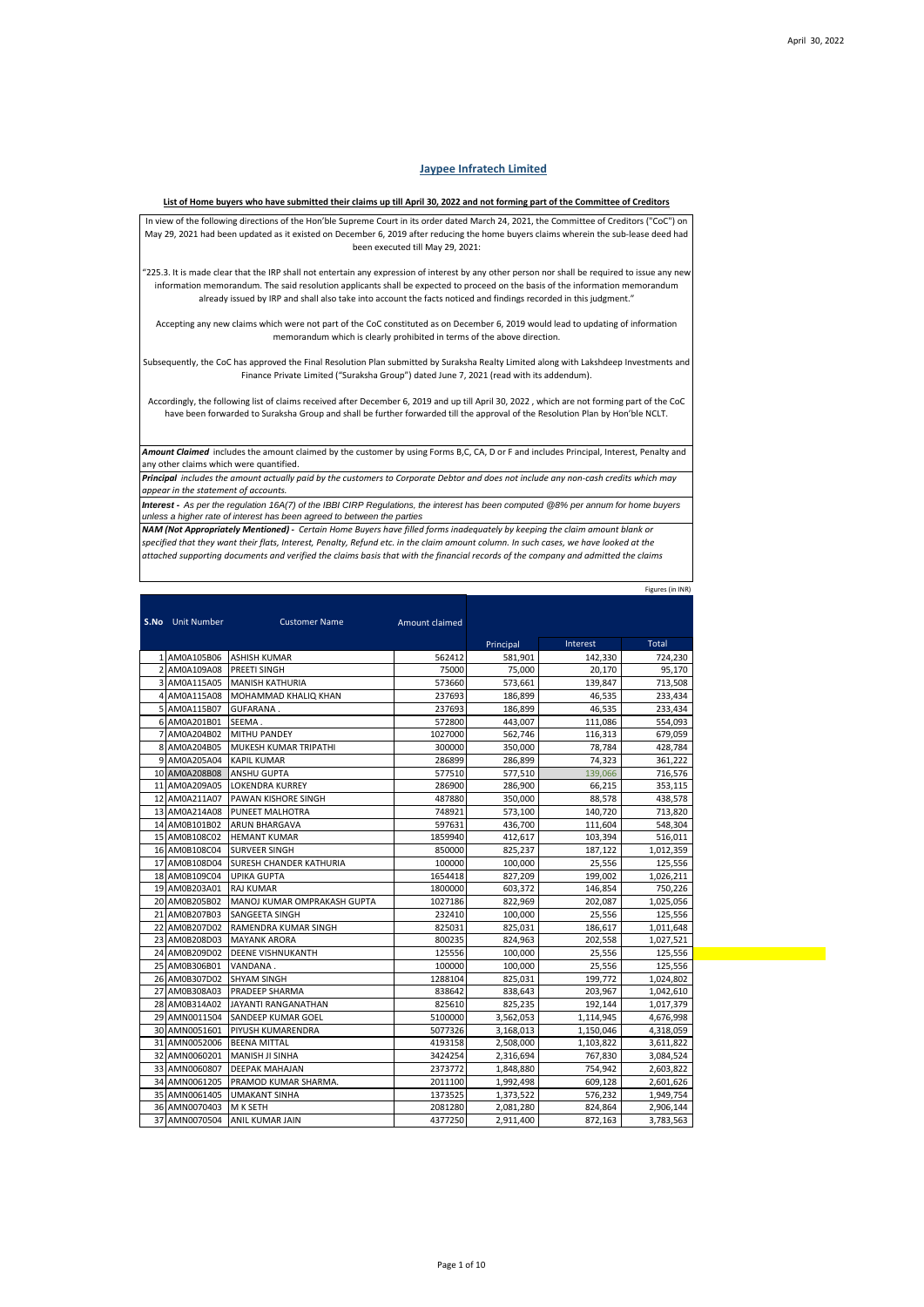Figures (in INR)

## **Jaypee Infratech Limited**

## **List of Home buyers who have submitted their claims up till April 30, 2022 and not forming part of the Committee of Creditors**

In view of the following directions of the Hon'ble Supreme Court in its order dated March 24, 2021, the Committee of Creditors ("CoC") on May 29, 2021 had been updated as it existed on December 6, 2019 after reducing the home buyers claims wherein the sub-lease deed had been executed till May 29, 2021:

"225.3. It is made clear that the IRP shall not entertain any expression of interest by any other person nor shall be required to issue any new information memorandum. The said resolution applicants shall be expected to proceed on the basis of the information memorandum already issued by IRP and shall also take into account the facts noticed and findings recorded in this judgment."

Accepting any new claims which were not part of the CoC constituted as on December 6, 2019 would lead to updating of information memorandum which is clearly prohibited in terms of the above direction.

Subsequently, the CoC has approved the Final Resolution Plan submitted by Suraksha Realty Limited along with Lakshdeep Investments and Finance Private Limited ("Suraksha Group") dated June 7, 2021 (read with its addendum).

Accordingly, the following list of claims received after December 6, 2019 and up till April 30, 2022 , which are not forming part of the CoC have been forwarded to Suraksha Group and shall be further forwarded till the approval of the Resolution Plan by Hon'ble NCLT.

*Amount Claimed* includes the amount claimed by the customer by using Forms B,C, CA, D or F and includes Principal, Interest, Penalty and any other claims which were quantified.

*Principal includes the amount actually paid by the customers to Corporate Debtor and does not include any non-cash credits which may appear in the statement of accounts. Interest - As per the regulation 16A(7) of the IBBI CIRP Regulations, the interest has been computed @8% per annum for home buyers* 

*unless a higher rate of interest has been agreed to between the parties*

*NAM (Not Appropriately Mentioned) - Certain Home Buyers have filled forms inadequately by keeping the claim amount blank or specified that they want their flats, Interest, Penalty, Refund etc. in the claim amount column. In such cases, we have looked at the attached supporting documents and verified the claims basis that with the financial records of the company and admitted the claims*

Principal Interest Total 1 AM0A105B06 ASHISH KUMAR 1662412 581,901 142,330 724,230 AM0A109A08 PREETI SINGH 75000 75,000 75,000 20,170 95,170 3 AM0A115A05 MANISH KATHURIA 573660 573,661 139,847 713,508 116 AMMAD KHALIQ KHAN 237693 186,899 46,535 233,434 4 AMOHAMMAD KHALIQ KHAN 237693 233,434 233,434 5 AM0A115B07 GUFARANA . 237693 186,899 46,535 233,434<br>6 AM0A201B01 SEEMA . 237693 2572800 443,007 111,086 554,093 AM0A201B01 SEEMA 7 AM0A204B02 MITHU PANDEY 1027000 562,746 116,313 679,059 8 AM0A204B05 MUKESH KUMAR TRIPATHI 300000 350,000 78,784 428,784 9 AM0A205A04 KAPIL KUMAR 286899 286.899 286.899 286.899 286.899 286.899 286.899 286.222 10 AM0A208B08 ANSHU GUPTA 577510 577,510 139,066 716,576 11 AM0A209A05 LOKENDRA KURREY 286900 286,900 66,215 353,115 12 AM0A211A07 PAWAN KISHORE SINGH 487880 350,000 88,578 438,578 13 AM0A214A08 PUNEET MALHOTRA 748921 573,100 140,720 713,820<br>14 AM0B101B02 ARUN BHARGAVA 597631 436,700 111,604 548,304 14 AM0B101B02 ARUN BHARGAVA 597631 436,700 111,604 548,304<br>15 AM0B108C02 HEMANT KUMAR 1859940 412,617 103,394 516,011 15 AM0B108C02 HEMANT KUMAR 1859940 412,617 103,394<br>16 AM0B108C04 SURVEER SINGH 850000 825,237 187,122 16 AM0B108C04 SURVEER SINGH 850000 825,237 187,122 1,012,359<br>17 AM0B108D04 SURESH CHANDER KATHURIA 100000 100.000 25.556 125.556 AM0B108D04 SURESH CHANDER KATHURIA 100000 100,000 25,556 125,556 125,556<br>AM0B109C04 UPIKA GUPTA 100000 100,000 25,556 125,556 125,556 18 AM0B109C04 UPIKA GUPTA 1654418 827,209 199,002 1,026,211 19 AM0B203A01 RAJ KUMAR 20 AM0B205B02 MANOJ KUMAR OMPRAKASH GUPTA 1027186 822,969 202,087 1,025,056 21 AM0B207B03 SANGEETA SINGH 232410 232410 100,000 25,556 125,556 22 AM0B207D02 RAMENDRA KUMAR SINGH 825031 825,031 186,617 1,011,648<br>23 AM0B208D03 MAYANK ARORA 800235 824,963 202,558 1,027,521 23 AM0B208D03 MAYANK ARORA 800235 824,963 202,558 1,027,521 24 AM0B209D02 DEENE VISHNUKANTH 125556 100,000 25,556 125,556 125,556<br>25 AM0B306B01 VANDANA. 100,000 100,000 25,556 125,556 25 AM0B306B01 VANDANA . 100000 100,000 25,556 125,556 125,556 125,556 125,556 125,556 125,556 125,556 125,556<br>26 AM0B307D02 SHYAM SINGH 1288104 825,031 199,772 1,024,802 26 AM0B307D02 SHYAM SINGH 1288104 825,031 199,772 1,024,802<br>27 AM0B308A03 PRADEEP SHARMA 838642 838,643 203,967 1,042,610 27 AM0B308A03 PRADEEP SHARMA 28 AM0B314A02 JAYANTI RANGANATHAN 825610 825,235 192,144 1,017,379 29 AMN0011504 SANDEEP KUMAR GOEL **1** 5100000 3,562,053 1,114,945 4,676,998 30 AMN0051601 PIYUSH KUMARENDRA 5077326 3,168,013 1,150,046 4,318,059 31 AMN0052006 BEENA MITTAL 4193158 2,508,000 1,103,822 3,611,822 32 AMN0060201 MANISH JI SINHA 3424254 2,316,694 767,830 3,084,524 33 AMN0060807 DEEPAK MAHAJAN 2373772 1,848,880 754,942 2,603,822 PRAMOD KUMAR SHARMA. 2011100 1,992,498 609,128 2,601,626<br>1373525 1,373,522 576,232 1,949,754 35 AMN0061405 UMAKANT SINHA 1373525 1,373,522 576,232 1,949,754<br>36 AMN0070403 MK SETH 2081280 2,081,280 824,864 2,906,144 36 AMN0070403 M K SETH 2081280 2,081,280 824,864<br>37 AMN0070504 ANIL KUMAR JAIN 4377250 2,911,400 872,163 37 AMN0070504 ANIL KUMAR JAIN 4377250 2,911,400 872,163 3,783,563 **S.No** Unit Number **Customer Name** Amount claimed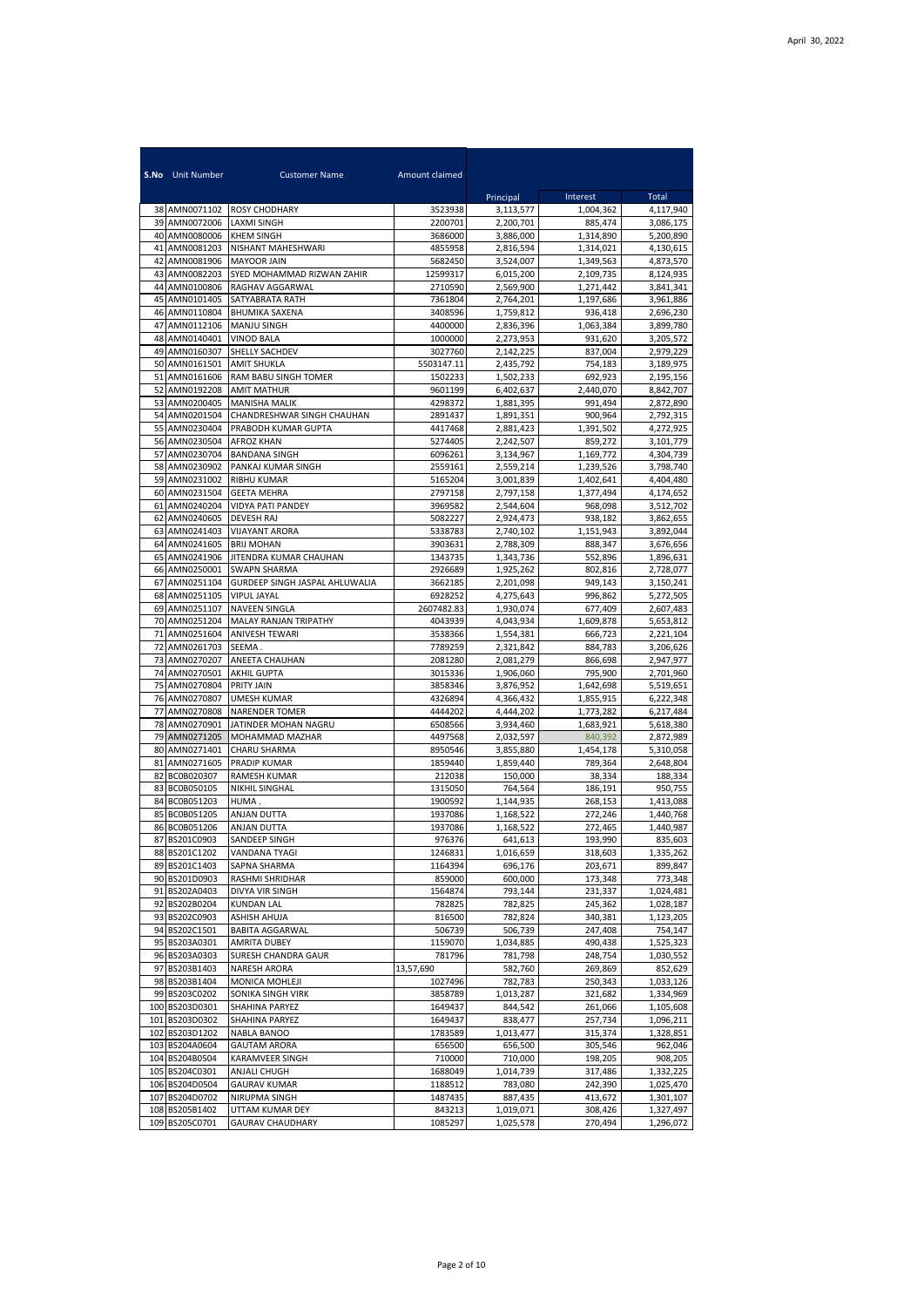|          | <b>S.No</b> Unit Number          | <b>Customer Name</b>                           | Amount claimed     |                        |                        |                        |
|----------|----------------------------------|------------------------------------------------|--------------------|------------------------|------------------------|------------------------|
|          |                                  |                                                |                    | Principal              | Interest               | Total                  |
| 39       | 38 AMN0071102<br>AMN0072006      | <b>ROSY CHODHARY</b><br><b>LAXMI SINGH</b>     | 3523938<br>2200701 | 3,113,577<br>2,200,701 | 1,004,362<br>885,474   | 4,117,940<br>3,086,175 |
|          | 40 AMN0080006                    | <b>KHEM SINGH</b>                              | 3686000            | 3,886,000              | 1,314,890              | 5,200,890              |
| 41       | AMN0081203                       | NISHANT MAHESHWARI                             | 4855958            | 2,816,594              | 1,314,021              | 4,130,615              |
| 42       | AMN0081906                       | <b>MAYOOR JAIN</b>                             | 5682450            | 3,524,007              | 1,349,563              | 4,873,570              |
| 43       | AMN0082203                       | SYED MOHAMMAD RIZWAN ZAHIR                     | 12599317           | 6,015,200              | 2,109,735              | 8,124,935              |
| 44<br>45 | AMN0100806<br>AMN0101405         | RAGHAV AGGARWAL<br>SATYABRATA RATH             | 2710590<br>7361804 | 2,569,900<br>2,764,201 | 1,271,442<br>1,197,686 | 3,841,341<br>3,961,886 |
| 46       | AMN0110804                       | <b>BHUMIKA SAXENA</b>                          | 3408596            | 1,759,812              | 936.418                | 2,696,230              |
| 47       | AMN0112106                       | <b>MANJU SINGH</b>                             | 4400000            | 2,836,396              | 1,063,384              | 3,899,780              |
| 48       | AMN0140401                       | <b>VINOD BALA</b>                              | 1000000            | 2,273,953              | 931,620                | 3,205,572              |
| 49       | AMN0160307                       | SHELLY SACHDEV                                 | 3027760            | 2,142,225              | 837,004                | 2,979,229              |
| 50       | AMN0161501                       | <b>AMIT SHUKLA</b>                             | 5503147.11         | 2,435,792              | 754,183                | 3,189,975              |
| 51<br>52 | AMN0161606<br>AMN0192208         | RAM BABU SINGH TOMER<br><b>AMIT MATHUR</b>     | 1502233<br>9601199 | 1,502,233<br>6,402,637 | 692,923<br>2,440,070   | 2,195,156<br>8,842,707 |
| 53       | AMN0200405                       | <b>MANISHA MALIK</b>                           | 4298372            | 1,881,395              | 991,494                | 2,872,890              |
| 54       | AMN0201504                       | CHANDRESHWAR SINGH CHAUHAN                     | 2891437            | 1,891,351              | 900,964                | 2,792,315              |
| 55       | AMN0230404                       | PRABODH KUMAR GUPTA                            | 4417468            | 2,881,423              | 1,391,502              | 4,272,925              |
| 56       | AMN0230504                       | <b>AFROZ KHAN</b>                              | 5274405            | 2,242,507              | 859,272                | 3,101,779              |
| 57       | AMN0230704                       | <b>BANDANA SINGH</b>                           | 6096261            | 3.134.967              | 1,169,772              | 4,304,739              |
| 58<br>59 | AMN0230902<br>AMN0231002         | PANKAJ KUMAR SINGH<br><b>RIBHU KUMAR</b>       | 2559161<br>5165204 | 2,559,214<br>3,001,839 | 1,239,526<br>1,402,641 | 3,798,740<br>4,404,480 |
| 60       | AMN0231504                       | <b>GEETA MEHRA</b>                             | 2797158            | 2,797,158              | 1,377,494              | 4,174,652              |
| 61       | AMN0240204                       | <b>VIDYA PATI PANDEY</b>                       | 3969582            | 2,544,604              | 968,098                | 3,512,702              |
| 62       | AMN0240605                       | DEVESH RAJ                                     | 5082227            | 2,924,473              | 938,182                | 3,862,655              |
| 63       | AMN0241403                       | <b>VIJAYANT ARORA</b>                          | 5338783            | 2,740,102              | 1.151.943              | 3,892,044              |
| 64       | AMN0241605                       | <b>BRIJ MOHAN</b>                              | 3903631            | 2,788,309              | 888,347                | 3,676,656              |
| 65       | AMN0241906                       | JITENDRA KUMAR CHAUHAN                         | 1343735<br>2926689 | 1,343,736              | 552,896<br>802,816     | 1,896,631              |
| 66<br>67 | AMN0250001<br>AMN0251104         | SWAPN SHARMA<br>GURDEEP SINGH JASPAL AHLUWALIA | 3662185            | 1,925,262<br>2,201,098 | 949.143                | 2,728,077<br>3,150,241 |
| 68       | AMN0251105                       | VIPUL JAYAL                                    | 6928252            | 4,275,643              | 996,862                | 5,272,505              |
| 69       | AMN0251107                       | NAVEEN SINGLA                                  | 2607482.83         | 1,930,074              | 677,409                | 2,607,483              |
| 70       | AMN0251204                       | MALAY RANJAN TRIPATHY                          | 4043939            | 4,043,934              | 1,609,878              | 5,653,812              |
| 71       | AMN0251604                       | <b>ANIVESH TEWARI</b>                          | 3538366            | 1,554,381              | 666,723                | 2,221,104              |
| 72<br>73 | AMN0261703<br>AMN0270207         | SEEMA.<br>ANEETA CHAUHAN                       | 7789259<br>2081280 | 2,321,842<br>2,081,279 | 884,783<br>866,698     | 3,206,626<br>2,947,977 |
| 74       | AMN0270501                       | <b>AKHIL GUPTA</b>                             | 3015336            | 1,906,060              | 795,900                | 2,701,960              |
| 75       | AMN0270804                       | <b>PRITY JAIN</b>                              | 3858346            | 3,876,952              | 1,642,698              | 5,519,651              |
| 76       | AMN0270807                       | <b>UMESH KUMAR</b>                             | 4326894            | 4,366,432              | 1,855,915              | 6,222,348              |
| 77       | AMN0270808                       | <b>NARENDER TOMER</b>                          | 4444202            | 4,444,202              | 1,773,282              | 6,217,484              |
| 78       | AMN0270901                       | JATINDER MOHAN NAGRU                           | 6508566            | 3,934,460              | 1,683,921              | 5,618,380              |
| 79<br>80 | AMN0271205<br>AMN0271401         | MOHAMMAD MAZHAR<br>CHARU SHARMA                | 4497568<br>8950546 | 2,032,597<br>3,855,880 | 840,392<br>1.454.178   | 2,872,989<br>5,310,058 |
| 81       | AMN0271605                       | PRADIP KUMAR                                   | 1859440            | 1.859.440              | 789,364                | 2,648,804              |
| 82       | BC0B020307                       | <b>RAMESH KUMAR</b>                            | 212038             | 150.000                | 38,334                 | 188.334                |
| 83       | BC0B050105                       | NIKHIL SINGHAL                                 | 1315050            | 764,564                | 186,191                | 950,755                |
|          | 84 BC0B051203                    | HUMA.                                          | 1900592            | 1,144,935              | 268,153                | 1,413,088              |
| 85<br>86 | BC0B051205<br>BC0B051206         | ANJAN DUTTA<br>ANJAN DUTTA                     | 1937086<br>1937086 | 1,168,522              | 272,246<br>272,465     | 1,440,768              |
|          | 87 BS201C0903                    | SANDEEP SINGH                                  | 9/63/6             | 1,168,522<br>641,613   | 193,990                | 1,440,987<br>835,603   |
|          | 88 BS201C1202                    | VANDANA TYAGI                                  | 1246831            | 1,016,659              | 318,603                | 1,335,262              |
|          | 89 BS201C1403                    | SAPNA SHARMA                                   | 1164394            | 696,176                | 203,671                | 899,847                |
|          | 90 BS201D0903                    | RASHMI SHRIDHAR                                | 859000             | 600,000                | 173,348                | 773,348                |
|          | 91 BS202A0403                    | DIVYA VIR SINGH                                | 1564874<br>782825  | 793,144                | 231,337                | 1,024,481              |
|          | 92 BS202B0204<br>93 BS202C0903   | <b>KUNDAN LAL</b><br>ASHISH AHUJA              | 816500             | 782,825<br>782,824     | 245,362<br>340,381     | 1,028,187<br>1,123,205 |
|          | 94 BS202C1501                    | <b>BABITA AGGARWAL</b>                         | 506739             | 506,739                | 247,408                | 754,147                |
|          | 95 BS203A0301                    | <b>AMRITA DUBEY</b>                            | 1159070            | 1,034,885              | 490,438                | 1,525,323              |
|          | 96 BS203A0303                    | SURESH CHANDRA GAUR                            | 781796             | 781,798                | 248,754                | 1,030,552              |
|          | 97 BS203B1403                    | NARESH ARORA                                   | 13,57,690          | 582,760                | 269,869                | 852,629                |
|          | 98 BS203B1404                    | MONICA MOHLEJI                                 | 1027496            | 782,783<br>1,013,287   | 250,343<br>321,682     | 1,033,126              |
|          | 99 BS203C0202<br>100 BS203D0301  | SONIKA SINGH VIRK<br>SHAHINA PARYEZ            | 3858789<br>1649437 | 844,542                | 261,066                | 1,334,969<br>1,105,608 |
|          | 101 BS203D0302                   | SHAHINA PARYEZ                                 | 1649437            | 838,477                | 257,734                | 1,096,211              |
|          | 102 BS203D1202                   | NABLA BANOO                                    | 1783589            | 1,013,477              | 315,374                | 1,328,851              |
|          | 103 BS204A0604                   | <b>GAUTAM ARORA</b>                            | 656500             | 656,500                | 305,546                | 962,046                |
|          | 104 BS204B0504                   | KARAMVEER SINGH                                | 710000             | 710,000                | 198,205                | 908,205                |
|          | 105 BS204C0301                   | ANJALI CHUGH                                   | 1688049            | 1,014,739              | 317,486                | 1,332,225              |
|          | 106 BS204D0504<br>107 BS204D0702 | <b>GAURAV KUMAR</b><br>NIRUPMA SINGH           | 1188512<br>1487435 | 783,080<br>887,435     | 242,390<br>413,672     | 1,025,470<br>1,301,107 |
|          | 108 BS205B1402                   | UTTAM KUMAR DEY                                | 843213             | 1,019,071              | 308,426                | 1,327,497              |
|          | 109 BS205C0701                   | <b>GAURAV CHAUDHARY</b>                        | 1085297            | 1,025,578              | 270,494                | 1,296,072              |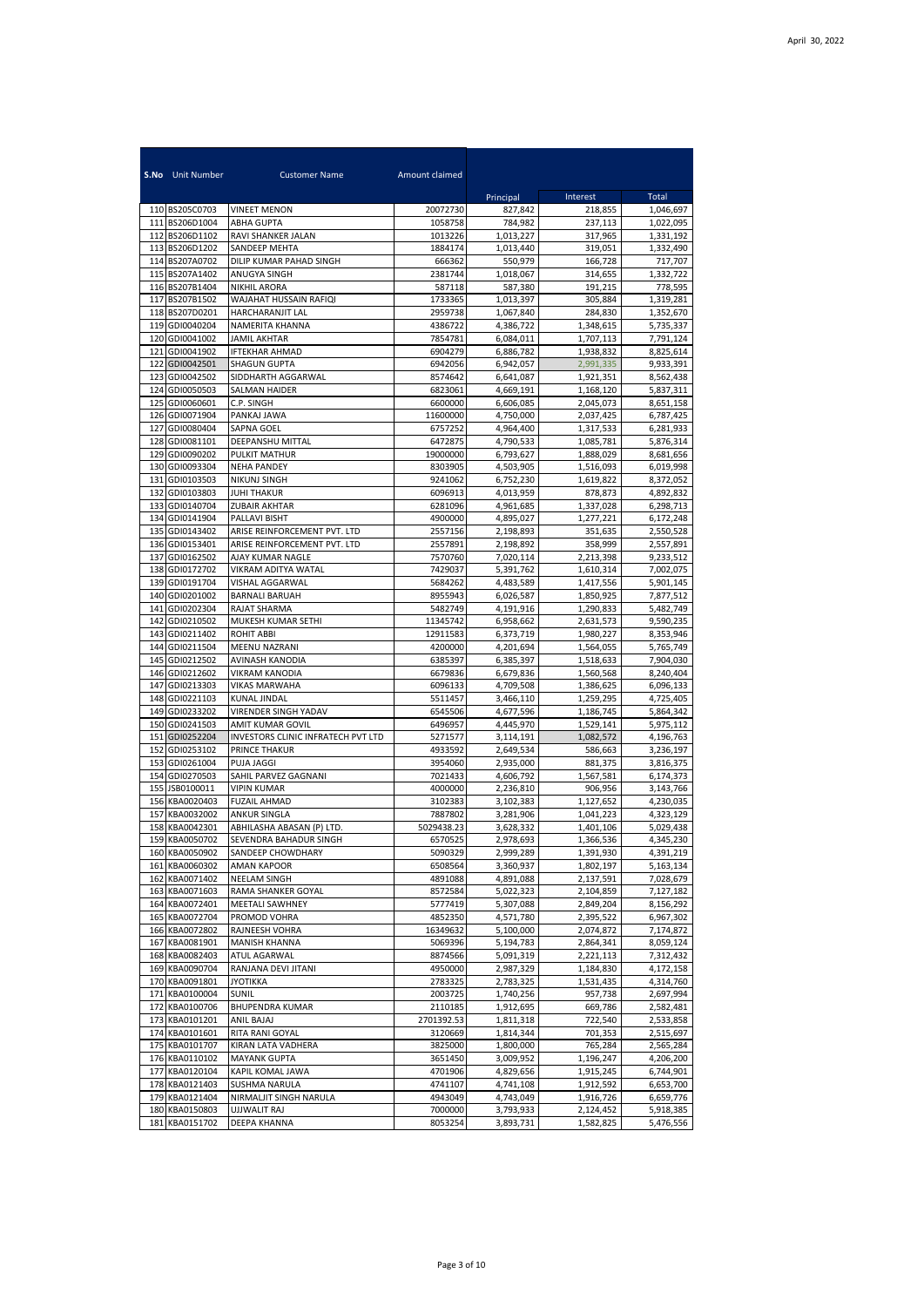|            | <b>S.No</b> Unit Number          | <b>Customer Name</b>                            | Amount claimed        |                        |                        |                        |
|------------|----------------------------------|-------------------------------------------------|-----------------------|------------------------|------------------------|------------------------|
|            |                                  |                                                 |                       | Principal              | Interest               | Total                  |
|            | 110 BS205C0703                   | <b>VINEET MENON</b>                             | 20072730              | 827,842                | 218,855                | 1,046,697              |
|            | 111 BS206D1004                   | <b>ABHA GUPTA</b>                               | 1058758               | 784,982                | 237,113                | 1,022,095              |
|            | 112 BS206D1102<br>113 BS206D1202 | RAVI SHANKER JALAN<br>SANDEEP MEHTA             | 1013226<br>1884174    | 1,013,227<br>1,013,440 | 317,965<br>319,051     | 1,331,192<br>1,332,490 |
| 114        | BS207A0702                       | DILIP KUMAR PAHAD SINGH                         | 666362                | 550,979                | 166,728                | 717,707                |
| 115        | BS207A1402                       | ANUGYA SINGH                                    | 2381744               | 1,018,067              | 314,655                | 1,332,722              |
|            | 116 BS207B1404                   | <b>NIKHIL ARORA</b>                             | 587118                | 587,380                | 191,215                | 778,595                |
| 117        | BS207B1502                       | WAJAHAT HUSSAIN RAFIQI                          | 1733365               | 1,013,397              | 305,884                | 1,319,281              |
| 118        | BS207D0201<br>119 GDI0040204     | HARCHARANJIT LAL<br>NAMERITA KHANNA             | 2959738<br>4386722    | 1,067,840<br>4,386,722 | 284.830<br>1,348,615   | 1,352,670<br>5,735,337 |
|            | 120 GDI0041002                   | <b>JAMIL AKHTAR</b>                             | 7854781               | 6,084,011              | 1,707,113              | 7,791,124              |
| 121        | GDI0041902                       | <b>IFTEKHAR AHMAD</b>                           | 6904279               | 6,886,782              | 1,938,832              | 8,825,614              |
| 122        | GDI0042501                       | <b>SHAGUN GUPTA</b>                             | 6942056               | 6.942.057              | 2,991,335              | 9,933,391              |
| 123        | GDI0042502                       | SIDDHARTH AGGARWAL                              | 8574642               | 6,641,087              | 1,921,351              | 8,562,438              |
| 124        | GDI0050503                       | SALMAN HAIDER                                   | 6823061               | 4,669,191              | 1,168,120              | 5,837,311              |
| 125<br>126 | GDI0060601<br>GDI0071904         | C.P. SINGH<br>PANKAJ JAWA                       | 6600000<br>11600000   | 6,606,085<br>4,750,000 | 2,045,073<br>2,037,425 | 8,651,158<br>6,787,425 |
| 127        | GDI0080404                       | <b>SAPNA GOEL</b>                               | 6757252               | 4,964,400              | 1,317,533              | 6,281,933              |
| 128        | GDI0081101                       | DEEPANSHU MITTAL                                | 6472875               | 4,790,533              | 1,085,781              | 5,876,314              |
| 129        | GDI0090202                       | PULKIT MATHUR                                   | 19000000              | 6,793,627              | 1,888,029              | 8.681.656              |
| 130        | GDI0093304                       | <b>NEHA PANDEY</b>                              | 8303905               | 4,503,905              | 1,516,093              | 6,019,998              |
| 131        | GDI0103503                       | NIKUNJ SINGH                                    | 9241062               | 6,752,230              | 1,619,822              | 8,372,052              |
| 132<br>133 | GDI0103803<br>GDI0140704         | <b>JUHI THAKUR</b><br><b>ZUBAIR AKHTAR</b>      | 6096913<br>6281096    | 4,013,959<br>4,961,685 | 878.873<br>1,337,028   | 4,892,832<br>6,298,713 |
| 134        | GDI0141904                       | PALLAVI BISHT                                   | 4900000               | 4,895,027              | 1,277,221              | 6,172,248              |
| 135        | GDI0143402                       | ARISE REINFORCEMENT PVT. LTD                    | 2557156               | 2,198,893              | 351,635                | 2,550,528              |
| 136        | GDI0153401                       | ARISE REINFORCEMENT PVT. LTD                    | 2557891               | 2,198,892              | 358,999                | 2,557,891              |
| 137        | GDI0162502                       | AJAY KUMAR NAGLE                                | 7570760               | 7,020,114              | 2,213,398              | 9,233,512              |
| 138        | GDI0172702                       | VIKRAM ADITYA WATAL                             | 7429037               | 5,391,762              | 1,610,314              | 7,002,075              |
| 139<br>140 | GDI0191704<br>GDI0201002         | <b>VISHAL AGGARWAL</b><br><b>BARNALI BARUAH</b> | 5684262<br>8955943    | 4,483,589<br>6,026,587 | 1,417,556<br>1,850,925 | 5,901,145<br>7,877,512 |
| 141        | GDI0202304                       | RAJAT SHARMA                                    | 5482749               | 4,191,916              | 1,290,833              | 5,482,749              |
| 142        | GDI0210502                       | MUKESH KUMAR SETHI                              | 11345742              | 6,958,662              | 2,631,573              | 9,590,235              |
| 143        | GDI0211402                       | <b>ROHIT ABBI</b>                               | 12911583              | 6,373,719              | 1,980,227              | 8,353,946              |
| 144        | GDI0211504                       | MEENU NAZRANI                                   | 4200000               | 4,201,694              | 1,564,055              | 5,765,749              |
| 145        | GDI0212502                       | AVINASH KANODIA                                 | 6385397               | 6,385,397              | 1,518,633              | 7,904,030              |
| 147        | 146 GDI0212602<br>GDI0213303     | <b>VIKRAM KANODIA</b><br>VIKAS MARWAHA          | 6679836<br>6096133    | 6,679,836<br>4,709,508 | 1,560,568<br>1,386,625 | 8,240,404<br>6,096,133 |
| 148        | GDI0221103                       | <b>KUNAL JINDAL</b>                             | 5511457               | 3,466,110              | 1,259,295              | 4,725,405              |
| 149        | GDI0233202                       | VIRENDER SINGH YADAV                            | 6545506               | 4,677,596              | 1,186,745              | 5,864,342              |
|            | 150 GDI0241503                   | AMIT KUMAR GOVIL                                | 6496957               | 4,445,970              | 1,529,141              | 5,975,112              |
| 151        | GDI0252204                       | INVESTORS CLINIC INFRATECH PVT LTD              | 5271577               | 3,114,191              | 1,082,572              | 4,196,763              |
| 152<br>153 | GDI0253102                       | <b>PRINCE THAKUR</b><br>PUJA JAGGI              | 4933592<br>3954060    | 2,649,534<br>2.935.000 | 586,663                | 3,236,197              |
|            | GDI0261004<br>154 GDI0270503     | SAHIL PARVEZ GAGNANI                            | 7021433               | 4,606,792              | 881,375<br>1,567,581   | 3,816,375<br>6,174,373 |
| 155        | JSB0100011                       | <b>VIPIN KUMAR</b>                              | 4000000               | 2,236,810              | 906,956                | 3,143,766              |
| 156        | KBA0020403                       | <b>FUZAIL AHMAD</b>                             | 3102383               | 3,102,383              | 1,127,652              | 4,230,035              |
| 157        | KBA0032002                       | <b>ANKUR SINGLA</b>                             | 7887802               | 3,281,906              | 1,041,223              | 4,323,129              |
| 158        | KBA0042301                       | ABHILASHA ABASAN (P) LTD.                       | 5029438.23            | 3,628,332              | 1,401,106              | 5,029,438              |
|            | 159 KBA0050702<br>160 KBA0050902 | SEVENDRA BAHADUR SINGH<br>SANDEEP CHOWDHARY     | 6570525<br>5090329    | 2,978,693<br>2,999,289 | 1,366,536<br>1,391,930 | 4,345,230<br>4,391,219 |
| 161        | KBA0060302                       | AMAN KAPOOR                                     | 6508564               | 3,360,937              | 1,802,197              | 5,163,134              |
|            | 162 KBA0071402                   | NEELAM SINGH                                    | 4891088               | 4,891,088              | 2,137,591              | 7,028,679              |
|            | 163 KBA0071603                   | RAMA SHANKER GOYAL                              | 8572584               | 5,022,323              | 2,104,859              | 7,127,182              |
|            | 164 KBA0072401                   | MEETALI SAWHNEY                                 | 5777419               | 5,307,088              | 2,849,204              | 8,156,292              |
| 165        | KBA0072704                       | PROMOD VOHRA                                    | 4852350               | 4,571,780              | 2,395,522              | 6,967,302              |
|            | 166 KBA0072802<br>167 KBA0081901 | RAJNEESH VOHRA<br>MANISH KHANNA                 | 16349632<br>5069396   | 5,100,000<br>5,194,783 | 2,074,872<br>2,864,341 | 7,174,872<br>8,059,124 |
|            | 168 KBA0082403                   | ATUL AGARWAL                                    | 8874566               | 5,091,319              | 2,221,113              | 7,312,432              |
|            | 169 KBA0090704                   | RANJANA DEVI JITANI                             | 4950000               | 2,987,329              | 1,184,830              | 4,172,158              |
|            | 170 KBA0091801                   | <b>JYOTIKKA</b>                                 | 2783325               | 2,783,325              | 1,531,435              | 4,314,760              |
|            | 171 KBA0100004                   | SUNIL                                           | 2003725               | 1,740,256              | 957,738                | 2,697,994              |
|            | 172 KBA0100706                   | <b>BHUPENDRA KUMAR</b>                          | 2110185               | 1,912,695              | 669,786                | 2,582,481              |
|            | 173 KBA0101201<br>174 KBA0101601 | ANIL BAJAJ<br>RITA RANI GOYAL                   | 2701392.53<br>3120669 | 1,811,318<br>1,814,344 | 722,540<br>701,353     | 2,533,858<br>2,515,697 |
|            | 175 KBA0101707                   | KIRAN LATA VADHERA                              | 3825000               | 1,800,000              | 765,284                | 2,565,284              |
|            | 176 KBA0110102                   | <b>MAYANK GUPTA</b>                             | 3651450               | 3,009,952              | 1,196,247              | 4,206,200              |
|            | 177 KBA0120104                   | KAPIL KOMAL JAWA                                | 4701906               | 4,829,656              | 1,915,245              | 6,744,901              |
|            | 178 KBA0121403                   | SUSHMA NARULA                                   | 4741107               | 4,741,108              | 1,912,592              | 6,653,700              |
|            | 179 KBA0121404<br>180 KBA0150803 | NIRMALIIT SINGH NARULA<br>UJJWALIT RAJ          | 4943049<br>7000000    | 4,743,049<br>3,793,933 | 1,916,726<br>2,124,452 | 6,659,776<br>5,918,385 |
|            | 181 KBA0151702                   | DEEPA KHANNA                                    | 8053254               | 3,893,731              | 1,582,825              | 5,476,556              |
|            |                                  |                                                 |                       |                        |                        |                        |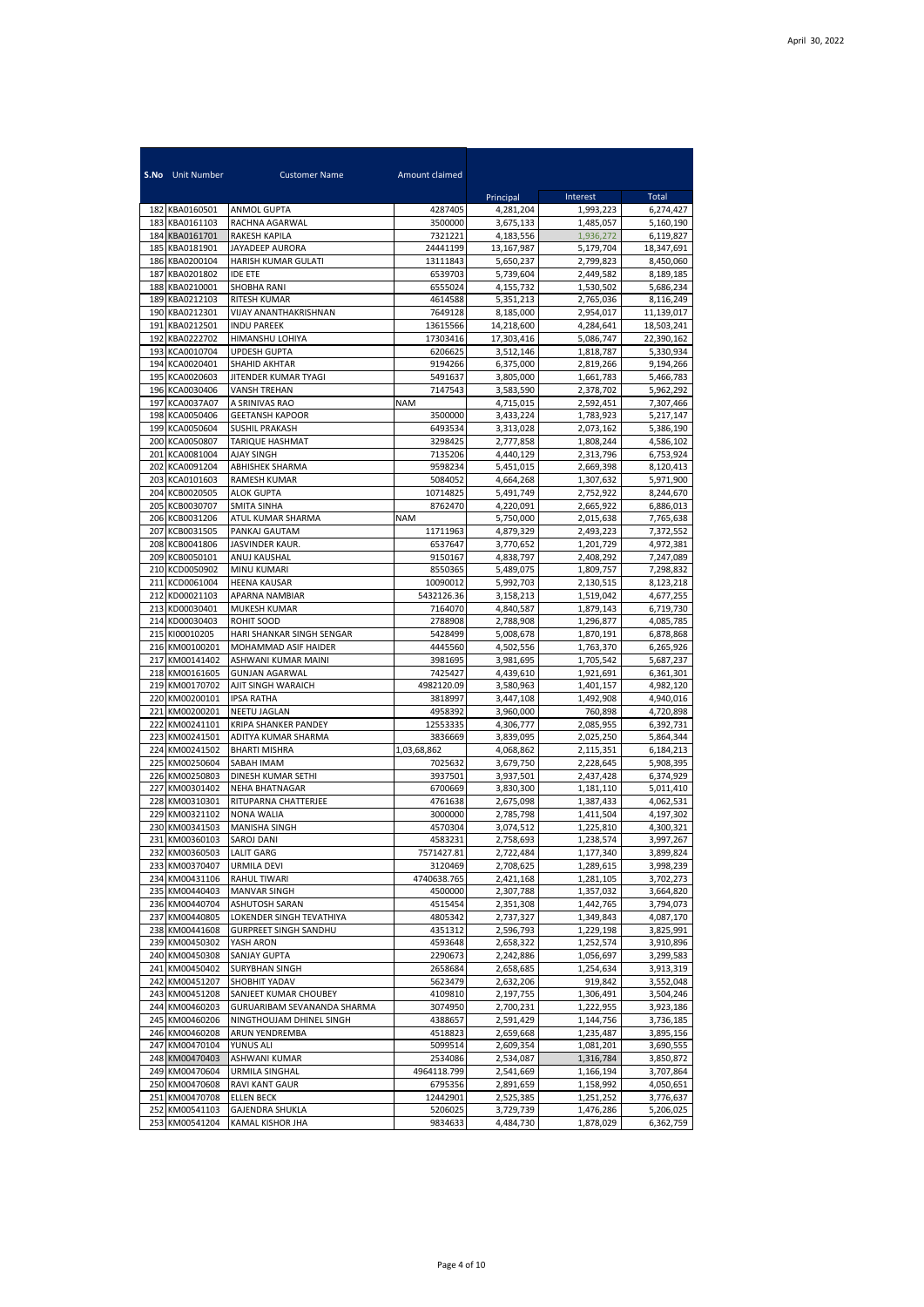|            | <b>S.No</b> Unit Number          | <b>Customer Name</b>                         | Amount claimed         |                        |                        |                         |
|------------|----------------------------------|----------------------------------------------|------------------------|------------------------|------------------------|-------------------------|
|            |                                  |                                              |                        | Principal              | Interest               | Total                   |
| 183        | 182 KBA0160501<br>KBA0161103     | <b>ANMOL GUPTA</b><br>RACHNA AGARWAL         | 4287405<br>3500000     | 4,281,204<br>3,675,133 | 1,993,223<br>1,485,057 | 6,274,427<br>5,160,190  |
| 184        | KBA0161701                       | RAKESH KAPILA                                | 7321221                | 4,183,556              | 1.936.272              | 6,119,827               |
| 185        | KBA0181901                       | JAYADEEP AURORA                              | 24441199               | 13,167,987             | 5,179,704              | 18,347,691              |
| 186        | KBA0200104                       | HARISH KUMAR GULATI                          | 13111843               | 5,650,237              | 2,799,823              | 8,450,060               |
| 187        | KBA0201802                       | <b>IDE ETE</b>                               | 6539703                | 5,739,604              | 2,449,582              | 8,189,185               |
| 188        | KBA0210001                       | SHOBHA RANI                                  | 6555024                | 4,155,732              | 1,530,502              | 5,686,234               |
| 189<br>190 | KBA0212103<br>KBA0212301         | RITESH KUMAR<br>VIJAY ANANTHAKRISHNAN        | 4614588<br>7649128     | 5,351,213<br>8,185,000 | 2,765,036<br>2,954,017 | 8,116,249<br>11,139,017 |
| 191        | KBA0212501                       | <b>INDU PAREEK</b>                           | 13615566               | 14,218,600             | 4,284,641              | 18,503,241              |
| 192        | KBA0222702                       | HIMANSHU LOHIYA                              | 17303416               | 17,303,416             | 5,086,747              | 22.390.162              |
| 193        | KCA0010704                       | <b>UPDESH GUPTA</b>                          | 6206625                | 3,512,146              | 1,818,787              | 5,330,934               |
| 194        | KCA0020401                       | <b>SHAHID AKHTAR</b>                         | 9194266                | 6,375,000              | 2,819,266              | 9,194,266               |
| 195        | KCA0020603                       | JITENDER KUMAR TYAGI                         | 5491637                | 3,805,000              | 1,661,783              | 5,466,783               |
| 196<br>197 | KCA0030406<br>KCA0037A07         | <b>VANSH TREHAN</b><br>A SRINIVAS RAO        | 7147543<br><b>NAM</b>  | 3,583,590<br>4,715,015 | 2,378,702<br>2,592,451 | 5,962,292<br>7,307,466  |
| 198        | KCA0050406                       | <b>GEETANSH KAPOOR</b>                       | 3500000                | 3,433,224              | 1,783,923              | 5,217,147               |
| 199        | KCA0050604                       | <b>SUSHIL PRAKASH</b>                        | 6493534                | 3,313,028              | 2,073,162              | 5,386,190               |
| 200        | KCA0050807                       | TARIQUE HASHMAT                              | 3298425                | 2,777,858              | 1,808,244              | 4,586,102               |
| 201        | KCA0081004                       | <b>AJAY SINGH</b>                            | 7135206                | 4,440,129              | 2,313,796              | 6,753,924               |
| 202        | KCA0091204                       | ABHISHEK SHARMA                              | 9598234                | 5,451,015              | 2,669,398              | 8,120,413               |
| 203<br>204 | KCA0101603<br>KCB0020505         | RAMESH KUMAR<br><b>ALOK GUPTA</b>            | 5084052<br>10714825    | 4,664,268<br>5,491,749 | 1,307,632              | 5,971,900               |
| 205        | KCB0030707                       | SMITA SINHA                                  | 8762470                | 4,220,091              | 2,752,922<br>2,665,922 | 8,244,670<br>6,886,013  |
| 206        | KCB0031206                       | ATUL KUMAR SHARMA                            | <b>NAM</b>             | 5.750.000              | 2,015,638              | 7,765,638               |
| 207        | KCB0031505                       | PANKAJ GAUTAM                                | 11711963               | 4,879,329              | 2,493,223              | 7,372,552               |
| 208        | KCB0041806                       | JASVINDER KAUR.                              | 6537647                | 3,770,652              | 1,201,729              | 4,972,381               |
| 209        | KCB0050101                       | ANUJ KAUSHAL                                 | 9150167                | 4,838,797              | 2,408,292              | 7,247,089               |
| 210        | KCD0050902                       | MINU KUMARI                                  | 8550365                | 5,489,075              | 1,809,757              | 7,298,832               |
| 211<br>212 | KCD0061004<br>KD00021103         | <b>HEENA KAUSAR</b><br>APARNA NAMBIAR        | 10090012<br>5432126.36 | 5,992,703<br>3,158,213 | 2,130,515<br>1,519,042 | 8,123,218<br>4,677,255  |
| 213        | KD00030401                       | MUKESH KUMAR                                 | 7164070                | 4,840,587              | 1,879,143              | 6,719,730               |
| 214        | KD00030403                       | ROHIT SOOD                                   | 2788908                | 2,788,908              | 1,296,877              | 4,085,785               |
| 215        | KI00010205                       | HARI SHANKAR SINGH SENGAR                    | 5428499                | 5,008,678              | 1,870,191              | 6,878,868               |
| 216        | KM00100201                       | MOHAMMAD ASIF HAIDER                         | 4445560                | 4,502,556              | 1,763,370              | 6,265,926               |
| 217<br>218 | KM00141402<br>KM00161605         | ASHWANI KUMAR MAINI<br><b>GUNJAN AGARWAL</b> | 3981695<br>7425427     | 3,981,695<br>4,439,610 | 1,705,542<br>1,921,691 | 5,687,237<br>6,361,301  |
| 219        | KM00170702                       | AJIT SINGH WARAICH                           | 4982120.09             | 3,580,963              | 1,401,157              | 4,982,120               |
|            | 220 KM00200101                   | <b>IPSA RATHA</b>                            | 3818997                | 3,447,108              | 1,492,908              | 4,940,016               |
| 221        | KM00200201                       | NEETU JAGLAN                                 | 4958392                | 3,960,000              | 760,898                | 4,720,898               |
| 222        | KM00241101                       | KRIPA SHANKER PANDEY                         | 12553335               | 4,306,777              | 2,085,955              | 6,392,731               |
| 223        | KM00241501                       | ADITYA KUMAR SHARMA                          | 3836669                | 3,839,095              | 2,025,250              | 5,864,344               |
| 224<br>225 | KM00241502<br>KM00250604         | <b>BHARTI MISHRA</b><br>SABAH IMAM           | 1,03,68,862<br>7025632 | 4,068,862<br>3,679,750 | 2,115,351<br>2,228,645 | 6,184,213<br>5,908,395  |
| 226        | KM00250803                       | DINESH KUMAR SETHI                           | 3937501                | 3,937,501              | 2,437,428              | 6,374,929               |
| 227        | KM00301402                       | NEHA BHATNAGAR                               | 6700669                | 3,830,300              | 1,181,110              | 5,011,410               |
| 228        | KM00310301                       | RITUPARNA CHATTERJEE                         | 4761638                | 2,675,098              | 1,387,433              | 4,062,531               |
| 229        | KM00321102                       | NONA WALIA                                   | 3000000                | 2,785,798              | 1,411,504              | 4,197,302               |
| 230        | KM00341503                       | <b>MANISHA SINGH</b>                         | 4570304                | 3,074,512              | 1,225,810              | 4,300,321               |
|            | 231 KM00360103 SAROJ DANI        | <b>LALIT GARG</b>                            | 4583231                | 2,758,693              | 1,238,574              | 3,997,267               |
|            | 232 KM00360503<br>233 KM00370407 | URMILA DEVI                                  | 7571427.81<br>3120469  | 2,722,484<br>2,708,625 | 1,177,340<br>1,289,615 | 3,899,824<br>3,998,239  |
|            | 234 KM00431106                   | RAHUL TIWARI                                 | 4740638.765            | 2,421,168              | 1,281,105              | 3,702,273               |
|            | 235 KM00440403                   | <b>MANVAR SINGH</b>                          | 4500000                | 2,307,788              | 1,357,032              | 3,664,820               |
|            | 236 KM00440704                   | ASHUTOSH SARAN                               | 4515454                | 2,351,308              | 1,442,765              | 3,794,073               |
|            | 237 KM00440805                   | LOKENDER SINGH TEVATHIYA                     | 4805342                | 2,737,327              | 1,349,843              | 4,087,170               |
|            | 238 KM00441608                   | <b>GURPREET SINGH SANDHU</b>                 | 4351312                | 2,596,793              | 1,229,198              | 3,825,991               |
|            | 239 KM00450302<br>240 KM00450308 | YASH ARON<br><b>SANJAY GUPTA</b>             | 4593648<br>2290673     | 2,658,322<br>2,242,886 | 1,252,574<br>1,056,697 | 3,910,896<br>3,299,583  |
|            | 241 KM00450402                   | <b>SURYBHAN SINGH</b>                        | 2658684                | 2,658,685              | 1,254,634              | 3,913,319               |
|            | 242 KM00451207                   | SHOBHIT YADAV                                | 5623479                | 2,632,206              | 919,842                | 3,552,048               |
|            | 243 KM00451208                   | SANJEET KUMAR CHOUBEY                        | 4109810                | 2,197,755              | 1,306,491              | 3,504,246               |
|            | 244 KM00460203                   | GURUARIBAM SEVANANDA SHARMA                  | 3074950                | 2,700,231              | 1,222,955              | 3,923,186               |
|            | 245 KM00460206                   | NINGTHOUJAM DHINEL SINGH                     | 4388657                | 2,591,429              | 1,144,756              | 3,736,185               |
|            | 246 KM00460208                   | ARUN YENDREMBA                               | 4518823                | 2,659,668              | 1,235,487              | 3,895,156               |
|            | 247 KM00470104<br>248 KM00470403 | YUNUS ALI<br>ASHWANI KUMAR                   | 5099514<br>2534086     | 2,609,354<br>2,534,087 | 1,081,201<br>1,316,784 | 3,690,555<br>3,850,872  |
|            | 249 KM00470604                   | URMILA SINGHAL                               | 4964118.799            | 2,541,669              | 1,166,194              | 3,707,864               |
|            | 250 KM00470608                   | RAVI KANT GAUR                               | 6795356                | 2,891,659              | 1,158,992              | 4,050,651               |
|            | 251 KM00470708                   | <b>ELLEN BECK</b>                            | 12442901               | 2,525,385              | 1,251,252              | 3,776,637               |
|            | 252 KM00541103                   | <b>GAJENDRA SHUKLA</b>                       | 5206025                | 3,729,739              | 1,476,286              | 5,206,025               |
|            | 253 KM00541204                   | KAMAL KISHOR JHA                             | 9834633                | 4,484,730              | 1,878,029              | 6,362,759               |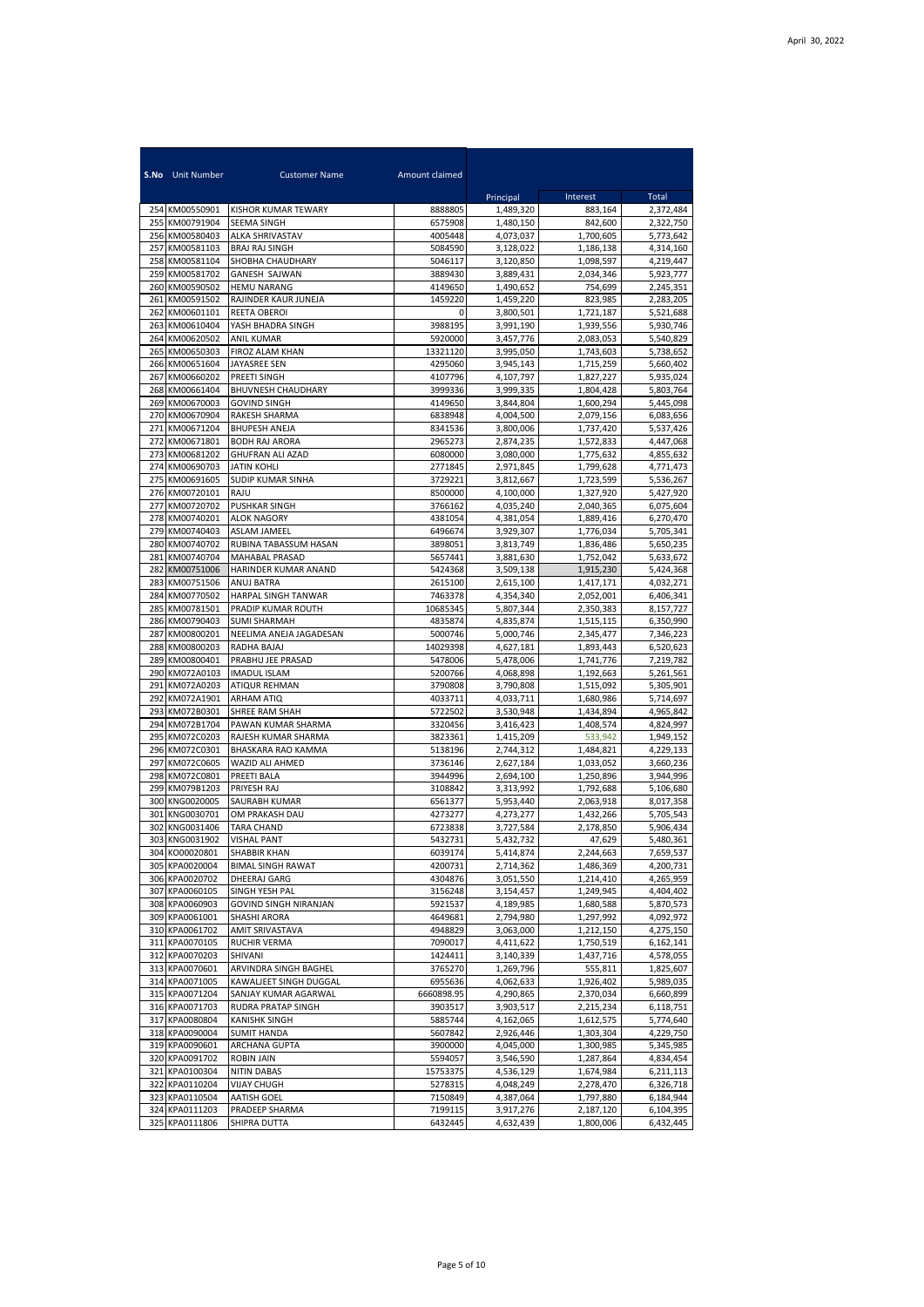|            | <b>S.No</b> Unit Number          | <b>Customer Name</b>                         | Amount claimed      |                        |                        |                        |
|------------|----------------------------------|----------------------------------------------|---------------------|------------------------|------------------------|------------------------|
|            |                                  |                                              |                     | Principal              | Interest               | Total                  |
|            | 254 KM00550901                   | <b>KISHOR KUMAR TEWARY</b>                   | 8888805             | 1,489,320              | 883,164                | 2,372,484              |
| 255        | KM00791904<br>256 KM00580403     | SEEMA SINGH<br><b>ALKA SHRIVASTAV</b>        | 6575908<br>4005448  | 1,480,150<br>4,073,037 | 842,600<br>1,700,605   | 2,322,750<br>5,773,642 |
| 257        | KM00581103                       | <b>BRAJ RAJ SINGH</b>                        | 5084590             | 3.128.022              | 1,186,138              | 4.314.160              |
| 258        | KM00581104                       | SHOBHA CHAUDHARY                             | 5046117             | 3,120,850              | 1,098,597              | 4,219,447              |
| 259        | KM00581702                       | <b>GANESH SAJWAN</b>                         | 3889430             | 3,889,431              | 2,034,346              | 5,923,777              |
|            | 260 KM00590502                   | <b>HEMU NARANG</b>                           | 4149650             | 1,490,652              | 754,699                | 2,245,351              |
| 261        | KM00591502                       | RAJINDER KAUR JUNEJA                         | 1459220             | 1,459,220              | 823,985                | 2,283,205              |
| 262<br>263 | KM00601101<br>KM00610404         | REETA OBEROI<br>YASH BHADRA SINGH            | 0<br>3988195        | 3,800,501<br>3,991,190 | 1,721,187<br>1,939,556 | 5,521,688<br>5,930,746 |
| 264        | KM00620502                       | ANIL KUMAR                                   | 5920000             | 3,457,776              | 2,083,053              | 5,540,829              |
| 265        | KM00650303                       | FIROZ ALAM KHAN                              | 13321120            | 3,995,050              | 1,743,603              | 5,738,652              |
| 266        | KM00651604                       | JAYASREE SEN                                 | 4295060             | 3,945,143              | 1,715,259              | 5,660,402              |
| 267        | KM00660202                       | PREETI SINGH                                 | 4107796             | 4,107,797              | 1,827,227              | 5,935,024              |
| 268        | KM00661404                       | BHUVNESH CHAUDHARY                           | 3999336             | 3,999,335              | 1,804,428              | 5,803,764              |
| 269        | KM00670003                       | <b>GOVIND SINGH</b>                          | 4149650             | 3,844,804              | 1,600,294              | 5,445,098              |
| 270<br>271 | KM00670904<br>KM00671204         | RAKESH SHARMA<br><b>BHUPESH ANEJA</b>        | 6838948<br>8341536  | 4,004,500<br>3,800,006 | 2,079,156<br>1,737,420 | 6,083,656<br>5,537,426 |
| 272        | KM00671801                       | <b>BODH RAJ ARORA</b>                        | 2965273             | 2,874,235              | 1,572,833              | 4,447,068              |
| 273        | KM00681202                       | <b>GHUFRAN ALI AZAD</b>                      | 6080000             | 3,080,000              | 1,775,632              | 4,855,632              |
| 274        | KM00690703                       | JATIN KOHLI                                  | 2771845             | 2.971.845              | 1,799,628              | 4,771,473              |
| 275        | KM00691605                       | <b>SUDIP KUMAR SINHA</b>                     | 3729221             | 3,812,667              | 1,723,599              | 5,536,267              |
| 276        | KM00720101                       | RAJU                                         | 8500000             | 4,100,000              | 1,327,920              | 5,427,920              |
| 277        | KM00720702                       | <b>PUSHKAR SINGH</b>                         | 3766162             | 4,035,240              | 2,040,365              | 6,075,604              |
| 278        | KM00740201                       | <b>ALOK NAGORY</b>                           | 4381054             | 4,381,054              | 1,889,416              | 6,270,470              |
| 280        | 279 KM00740403<br>KM00740702     | <b>ASLAM JAMEEL</b><br>RUBINA TABASSUM HASAN | 6496674<br>3898051  | 3,929,307<br>3,813,749 | 1,776,034<br>1,836,486 | 5,705,341<br>5,650,235 |
| 281        | KM00740704                       | <b>MAHABAL PRASAD</b>                        | 5657441             | 3,881,630              | 1,752,042              | 5,633,672              |
| 282        | KM00751006                       | HARINDER KUMAR ANAND                         | 5424368             | 3,509,138              | 1,915,230              | 5,424,368              |
| 283        | KM00751506                       | ANUJ BATRA                                   | 2615100             | 2,615,100              | 1,417,171              | 4,032,271              |
| 284        | KM00770502                       | HARPAL SINGH TANWAR                          | 7463378             | 4,354,340              | 2,052,001              | 6,406,341              |
| 285        | KM00781501                       | PRADIP KUMAR ROUTH                           | 10685345            | 5,807,344              | 2,350,383              | 8,157,727              |
| 286        | KM00790403                       | <b>SUMI SHARMAH</b>                          | 4835874             | 4,835,874              | 1,515,115              | 6,350,990              |
| 287<br>288 | KM00800201<br>KM00800203         | NEELIMA ANEJA JAGADESAN<br>RADHA BAJAJ       | 5000746<br>14029398 | 5,000,746              | 2,345,477<br>1,893,443 | 7,346,223              |
| 289        | KM00800401                       | PRABHU JEE PRASAD                            | 5478006             | 4,627,181<br>5,478,006 | 1,741,776              | 6,520,623<br>7,219,782 |
|            | 290 KM072A0103                   | <b>IMADUL ISLAM</b>                          | 5200766             | 4,068,898              | 1,192,663              | 5,261,561              |
| 291        | KM072A0203                       | ATIQUR REHMAN                                | 3790808             | 3,790,808              | 1,515,092              | 5,305,901              |
| 292        | KM072A1901                       | ARHAM ATIQ                                   | 4033711             | 4,033,711              | 1,680,986              | 5,714,697              |
| 293        | KM072B0301                       | SHREE RAM SHAH                               | 5722502             | 3,530,948              | 1,434,894              | 4,965,842              |
|            | 294 KM072B1704                   | PAWAN KUMAR SHARMA                           | 3320456             | 3,416,423              | 1,408,574              | 4,824,997              |
| 295<br>296 | KM072C0203<br>KM072C0301         | RAJESH KUMAR SHARMA<br>BHASKARA RAO KAMMA    | 3823361<br>5138196  | 1,415,209<br>2,744,312 | 533,942<br>1,484,821   | 1,949,152<br>4,229,133 |
| 297        | KM072C0605                       | WAZID ALI AHMED                              | 3736146             | 2,627,184              | 1,033,052              | 3,660,236              |
| 298        | KM072C0801                       | PREETI BALA                                  | 3944996             | 2,694,100              | 1,250,896              | 3,944,996              |
| 299        | KM079B1203                       | PRIYESH RAJ                                  | 3108842             | 3,313,992              | 1,792,688              | 5,106,680              |
|            | 300 KNG0020005                   | SAURABH KUMAR                                | 6561377             | 5,953,440              | 2,063,918              | 8,017,358              |
| 301        | KNG0030701                       | OM PRAKASH DAU                               | 4273277             | 4,273,277              | 1.432.266              | 5,705,543              |
| 302        | KNG0031406                       | <b>TARA CHAND</b>                            | 6723838             | 3,727,584              | 2,178,850              | 5,906,434              |
|            | 303 KNG0031902<br>304 KO00020801 | VISHAL PAN I<br>SHABBIR KHAN                 | 5432731<br>6039174  | 5,432,732<br>5,414,874 | 47,629<br>2,244,663    | 5,480,361<br>7,659,537 |
|            | 305 KPA0020004                   | <b>BIMAL SINGH RAWAT</b>                     | 4200731             | 2,714,362              | 1,486,369              | 4,200,731              |
|            | 306 KPA0020702                   | DHEERAJ GARG                                 | 4304876             | 3,051,550              | 1,214,410              | 4,265,959              |
|            | 307 KPA0060105                   | SINGH YESH PAL                               | 3156248             | 3,154,457              | 1,249,945              | 4,404,402              |
|            | 308 KPA0060903                   | GOVIND SINGH NIRANJAN                        | 5921537             | 4,189,985              | 1,680,588              | 5,870,573              |
|            | 309 KPA0061001                   | SHASHI ARORA                                 | 4649681             | 2,794,980              | 1,297,992              | 4,092,972              |
|            | 310 KPA0061702                   | AMIT SRIVASTAVA                              | 4948829             | 3,063,000              | 1,212,150              | 4,275,150              |
|            | 311 KPA0070105<br>312 KPA0070203 | RUCHIR VERMA<br>SHIVANI                      | 7090017<br>1424411  | 4,411,622<br>3,140,339 | 1,750,519<br>1,437,716 | 6,162,141<br>4,578,055 |
|            | 313 KPA0070601                   | ARVINDRA SINGH BAGHEL                        | 3765270             | 1,269,796              | 555,811                | 1,825,607              |
|            | 314 KPA0071005                   | KAWALJEET SINGH DUGGAL                       | 6955636             | 4,062,633              | 1,926,402              | 5,989,035              |
|            | 315 KPA0071204                   | SANJAY KUMAR AGARWAL                         | 6660898.95          | 4,290,865              | 2,370,034              | 6,660,899              |
|            | 316 KPA0071703                   | RUDRA PRATAP SINGH                           | 3903517             | 3,903,517              | 2,215,234              | 6,118,751              |
|            | 317 KPA0080804                   | <b>KANISHK SINGH</b>                         | 5885744             | 4,162,065              | 1,612,575              | 5,774,640              |
|            | 318 KPA0090004                   | <b>SUMIT HANDA</b>                           | 5607842             | 2,926,446              | 1,303,304              | 4,229,750              |
|            | 319 KPA0090601<br>320 KPA0091702 | ARCHANA GUPTA<br>ROBIN JAIN                  | 3900000<br>5594057  | 4,045,000<br>3,546,590 | 1,300,985<br>1,287,864 | 5,345,985<br>4,834,454 |
|            | 321 KPA0100304                   | <b>NITIN DABAS</b>                           | 15753375            | 4,536,129              | 1,674,984              | 6,211,113              |
| 322        | KPA0110204                       | VIJAY CHUGH                                  | 5278315             | 4,048,249              | 2,278,470              | 6,326,718              |
|            | 323 KPA0110504                   | <b>AATISH GOEL</b>                           | 7150849             | 4,387,064              | 1,797,880              | 6,184,944              |
|            | 324 KPA0111203                   | PRADEEP SHARMA                               | 7199115             | 3,917,276              | 2,187,120              | 6,104,395              |
|            | 325 KPA0111806                   | SHIPRA DUTTA                                 | 6432445             | 4,632,439              | 1,800,006              | 6,432,445              |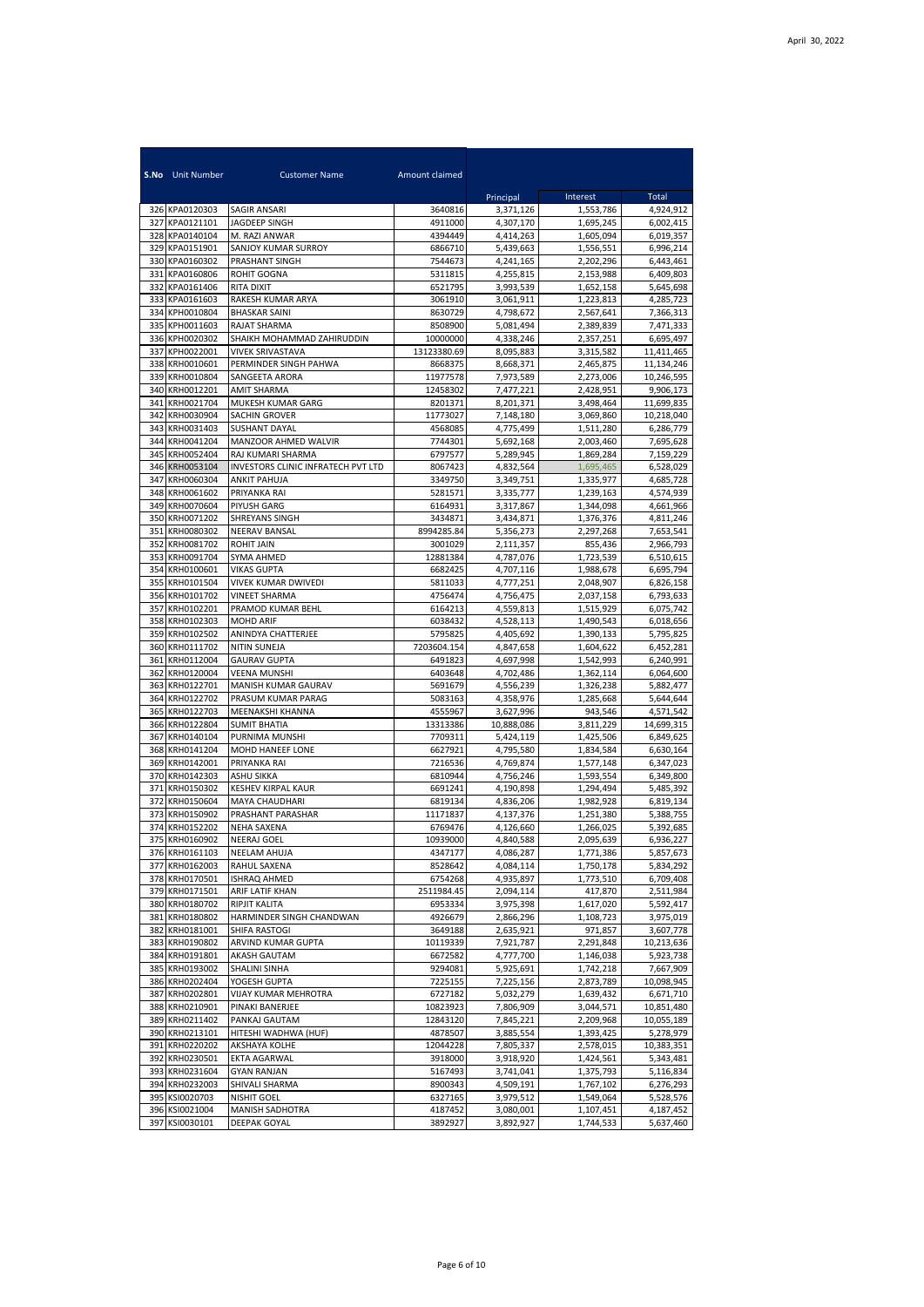|            | <b>S.No</b> Unit Number          | <b>Customer Name</b>                      | Amount claimed         |                        |                        |                         |
|------------|----------------------------------|-------------------------------------------|------------------------|------------------------|------------------------|-------------------------|
|            |                                  |                                           |                        | Principal              | Interest               | Total                   |
| 327        | 326 KPA0120303<br>KPA0121101     | SAGIR ANSARI<br>JAGDEEP SINGH             | 3640816<br>4911000     | 3,371,126<br>4,307,170 | 1,553,786<br>1.695.245 | 4,924,912<br>6.002.415  |
| 328        | KPA0140104                       | M. RAZI ANWAR                             | 4394449                | 4,414,263              | 1,605,094              | 6,019,357               |
| 329        | KPA0151901                       | SANJOY KUMAR SURROY                       | 6866710                | 5,439,663              | 1,556,551              | 6,996,214               |
| 330        | KPA0160302                       | PRASHANT SINGH                            | 7544673                | 4,241,165              | 2,202,296              | 6,443,461               |
| 331        | KPA0160806                       | ROHIT GOGNA                               | 5311815                | 4,255,815              | 2,153,988              | 6,409,803               |
| 332        | KPA0161406                       | RITA DIXIT                                | 6521795                | 3,993,539              | 1,652,158              | 5,645,698               |
| 333        | KPA0161603                       | RAKESH KUMAR ARYA<br><b>BHASKAR SAINI</b> | 3061910                | 3,061,911              | 1,223,813              | 4,285,723               |
| 334<br>335 | KPH0010804<br>KPH0011603         | <b>RAJAT SHARMA</b>                       | 8630729<br>8508900     | 4,798,672<br>5,081,494 | 2,567,641<br>2,389,839 | 7,366,313<br>7,471,333  |
| 336        | KPH0020302                       | SHAIKH MOHAMMAD ZAHIRUDDIN                | 10000000               | 4,338,246              | 2,357,251              | 6,695,497               |
| 337        | KPH0022001                       | <b>VIVEK SRIVASTAVA</b>                   | 13123380.69            | 8.095.883              | 3,315,582              | 11,411,465              |
| 338        | KRH0010601                       | PERMINDER SINGH PAHWA                     | 8668375                | 8,668,371              | 2,465,875              | 11,134,246              |
| 339        | KRH0010804                       | SANGEETA ARORA                            | 11977578               | 7,973,589              | 2,273,006              | 10,246,595              |
| 340        | KRH0012201                       | AMIT SHARMA                               | 12458302               | 7,477,221              | 2,428,951              | 9,906,173               |
| 341        | KRH0021704                       | MUKESH KUMAR GARG                         | 8201371                | 8,201,371              | 3,498,464              | 11,699,835              |
| 342<br>343 | KRH0030904<br>KRH0031403         | SACHIN GROVER<br><b>SUSHANT DAYAL</b>     | 11773027<br>4568085    | 7,148,180<br>4,775,499 | 3,069,860<br>1,511,280 | 10,218,040<br>6,286,779 |
| 344        | KRH0041204                       | MANZOOR AHMED WALVIR                      | 7744301                | 5,692,168              | 2,003,460              | 7,695,628               |
| 345        | KRH0052404                       | RAJ KUMARI SHARMA                         | 6797577                | 5.289.945              | 1,869,284              | 7,159,229               |
| 346        | KRH0053104                       | <b>INVESTORS CLINIC INFRATECH PVT LTD</b> | 8067423                | 4,832,564              | 1,695,465              | 6,528,029               |
| 347        | KRH0060304                       | ANKIT PAHUJA                              | 3349750                | 3,349,751              | 1,335,977              | 4,685,728               |
| 348        | KRH0061602                       | PRIYANKA RAI                              | 5281571                | 3,335,777              | 1,239,163              | 4,574,939               |
| 349        | KRH0070604                       | PIYUSH GARG                               | 6164931                | 3,317,867              | 1,344,098              | 4,661,966               |
| 350<br>351 | KRH0071202<br>KRH0080302         | SHREYANS SINGH<br>NEERAV BANSAL           | 3434871<br>8994285.84  | 3,434,871<br>5,356,273 | 1,376,376<br>2,297,268 | 4,811,246               |
| 352        | KRH0081702                       | <b>ROHIT JAIN</b>                         | 3001029                | 2,111,357              | 855,436                | 7,653,541<br>2,966,793  |
| 353        | KRH0091704                       | SYMA AHMED                                | 12881384               | 4,787,076              | 1,723,539              | 6,510,615               |
| 354        | KRH0100601                       | <b>VIKAS GUPTA</b>                        | 6682425                | 4,707,116              | 1,988,678              | 6,695,794               |
| 355        | KRH0101504                       | VIVEK KUMAR DWIVEDI                       | 5811033                | 4,777,251              | 2,048,907              | 6,826,158               |
| 356        | KRH0101702                       | <b>VINEET SHARMA</b>                      | 4756474                | 4,756,475              | 2,037,158              | 6,793,633               |
| 357        | KRH0102201                       | PRAMOD KUMAR BEHL                         | 6164213                | 4,559,813              | 1,515,929              | 6,075,742               |
| 358        | KRH0102303                       | <b>MOHD ARIF</b>                          | 6038432                | 4,528,113              | 1,490,543              | 6,018,656               |
| 359<br>360 | KRH0102502<br>KRH0111702         | ANINDYA CHATTERJEE<br><b>NITIN SUNEJA</b> | 5795825<br>7203604.154 | 4,405,692<br>4,847,658 | 1,390,133<br>1,604,622 | 5,795,825<br>6,452,281  |
| 361        | KRH0112004                       | <b>GAURAV GUPTA</b>                       | 6491823                | 4,697,998              | 1,542,993              | 6,240,991               |
| 362        | KRH0120004                       | VEENA MUNSHI                              | 6403648                | 4,702,486              | 1,362,114              | 6,064,600               |
| 363        | KRH0122701                       | MANISH KUMAR GAURAV                       | 5691679                | 4,556,239              | 1,326,238              | 5,882,477               |
|            | 364 KRH0122702                   | PRASUM KUMAR PARAG                        | 5083163                | 4,358,976              | 1,285,668              | 5,644,644               |
| 365        | KRH0122703                       | MEENAKSHI KHANNA                          | 4555967                | 3,627,996              | 943,546                | 4,571,542               |
|            | 366 KRH0122804                   | <b>SUMIT BHATIA</b>                       | 13313386               | 10,888,086             | 3,811,229              | 14,699,315              |
| 367<br>368 | KRH0140104<br>KRH0141204         | PURNIMA MUNSHI<br>MOHD HANEEF LONE        | 7709311<br>6627921     | 5,424,119<br>4,795,580 | 1,425,506<br>1,834,584 | 6,849,625<br>6,630,164  |
| 369        | KRH0142001                       | PRIYANKA RAI                              | 7216536                | 4.769.874              | 1,577,148              | 6,347,023               |
|            | 370 KRH0142303                   | ASHU SIKKA                                | 6810944                | 4,756,246              | 1,593,554              | 6,349,800               |
| 371        | KRH0150302                       | <b>KESHEV KIRPAL KAUR</b>                 | 6691241                | 4,190,898              | 1,294,494              | 5,485,392               |
| 372        | KRH0150604                       | MAYA CHAUDHARI                            | 6819134                | 4,836,206              | 1,982,928              | 6,819,134               |
| 373        | KRH0150902                       | PRASHANT PARASHAR                         | 11171837               | 4,137,376              | 1,251,380              | 5,388,755               |
| 374        | KRH0152202                       | NEHA SAXENA                               | 6769476                | 4,126,660              | 1,266,025              | 5,392,685               |
|            | 375 KRH0160902<br>376 KRH0161103 | NEERAJ GOEL                               | 10939000<br>4347177    | 4,840,588<br>4,086,287 | 2,095,639              | 6,936,227<br>5,857,673  |
| 377        | KRH0162003                       | NEELAM AHUJA<br>RAHUL SAXENA              | 8528642                | 4,084,114              | 1,771,386<br>1,750,178 | 5,834,292               |
|            | 378 KRH0170501                   | ISHRAQ AHMED                              | 6754268                | 4,935,897              | 1,773,510              | 6,709,408               |
|            | 379 KRH0171501                   | ARIF LATIF KHAN                           | 2511984.45             | 2,094,114              | 417,870                | 2,511,984               |
|            | 380 KRH0180702                   | RIPJIT KALITA                             | 6953334                | 3,975,398              | 1,617,020              | 5,592,417               |
| 381        | KRH0180802                       | HARMINDER SINGH CHANDWAN                  | 4926679                | 2,866,296              | 1,108,723              | 3,975,019               |
| 382        | KRH0181001                       | SHIFA RASTOGI                             | 3649188                | 2,635,921              | 971,857                | 3,607,778               |
| 383<br>384 | KRH0190802                       | ARVIND KUMAR GUPTA<br>AKASH GAUTAM        | 10119339<br>6672582    | 7,921,787<br>4,777,700 | 2,291,848              | 10,213,636<br>5,923,738 |
|            | KRH0191801<br>385 KRH0193002     | SHALINI SINHA                             | 9294081                | 5,925,691              | 1,146,038<br>1,742,218 | 7,667,909               |
|            | 386 KRH0202404                   | YOGESH GUPTA                              | 7225155                | 7,225,156              | 2,873,789              | 10,098,945              |
|            | 387 KRH0202801                   | VIJAY KUMAR MEHROTRA                      | 6727182                | 5,032,279              | 1,639,432              | 6,671,710               |
|            | 388 KRH0210901                   | PINAKI BANERJEE                           | 10823923               | 7,806,909              | 3,044,571              | 10,851,480              |
|            | 389 KRH0211402                   | PANKAJ GAUTAM                             | 12843120               | 7,845,221              | 2,209,968              | 10,055,189              |
|            | 390 KRH0213101                   | HITESHI WADHWA (HUF)                      | 4878507                | 3,885,554              | 1,393,425              | 5,278,979               |
|            | 391 KRH0220202                   | AKSHAYA KOLHE                             | 12044228               | 7,805,337              | 2,578,015              | 10,383,351              |
|            | 392 KRH0230501<br>393 KRH0231604 | EKTA AGARWAL<br><b>GYAN RANJAN</b>        | 3918000<br>5167493     | 3,918,920<br>3,741,041 | 1,424,561<br>1,375,793 | 5,343,481<br>5,116,834  |
|            | 394 KRH0232003                   | SHIVALI SHARMA                            | 8900343                | 4,509,191              | 1,767,102              | 6,276,293               |
|            | 395 KSI0020703                   | NISHIT GOEL                               | 6327165                | 3,979,512              | 1,549,064              | 5,528,576               |
|            | 396 KSI0021004                   | MANISH SADHOTRA                           | 4187452                | 3,080,001              | 1,107,451              | 4,187,452               |
|            | 397 KSI0030101                   | DEEPAK GOYAL                              | 3892927                | 3,892,927              | 1,744,533              | 5,637,460               |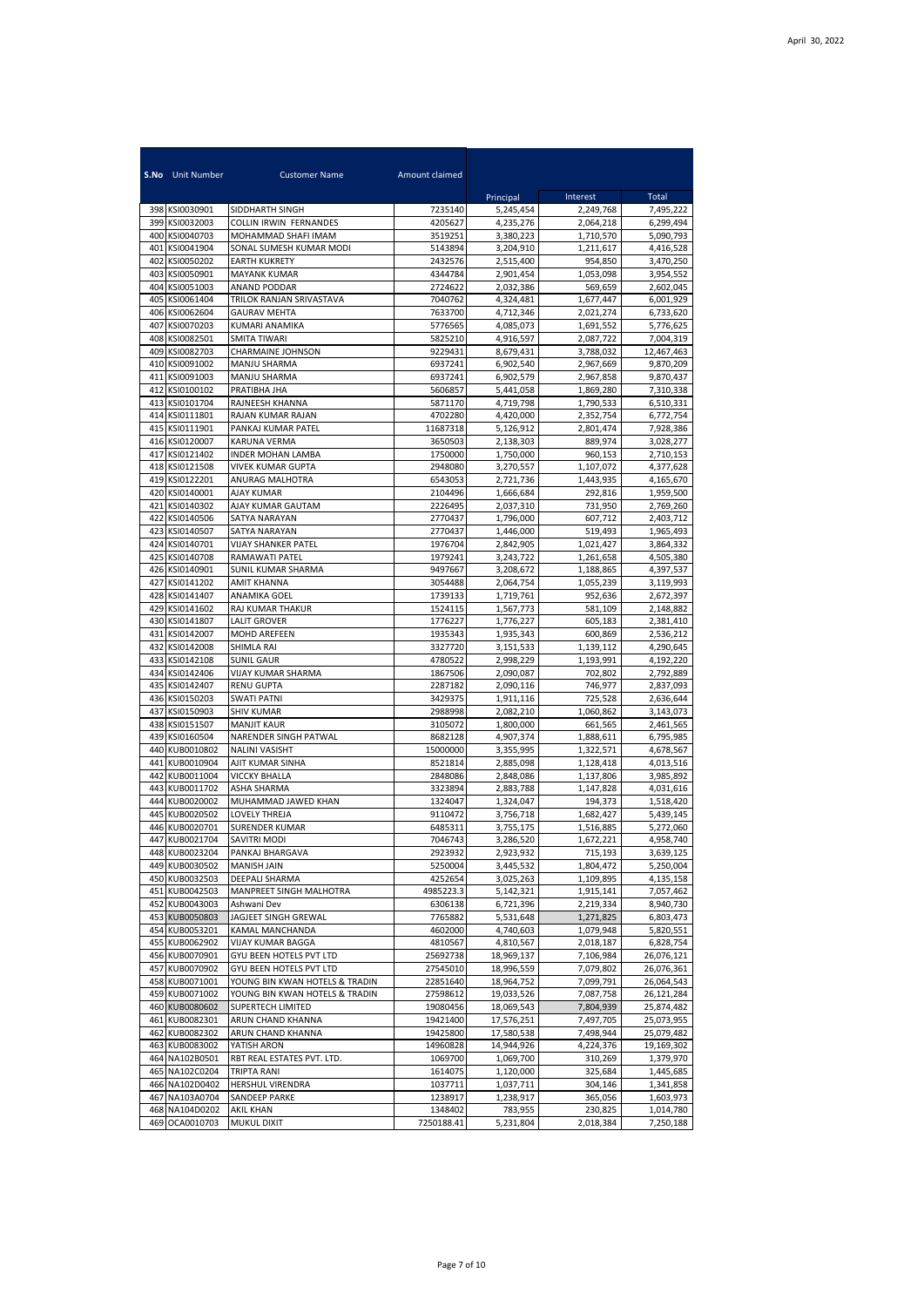|            | <b>S.No</b> Unit Number          | <b>Customer Name</b>                        | Amount claimed     |                        |                        |                        |
|------------|----------------------------------|---------------------------------------------|--------------------|------------------------|------------------------|------------------------|
|            |                                  |                                             |                    | Principal              | Interest               | Total                  |
|            | 398 KSI0030901                   | SIDDHARTH SINGH                             | 7235140            | 5,245,454              | 2,249,768              | 7,495,222              |
| 399        | KSI0032003                       | <b>COLLIN IRWIN FERNANDES</b>               | 4205627            | 4,235,276              | 2,064,218              | 6,299,494              |
|            | 400 KSI0040703                   | MOHAMMAD SHAFI IMAM                         | 3519251            | 3,380,223              | 1,710,570              | 5,090,793              |
| 401        | KSI0041904                       | SONAL SUMESH KUMAR MODI                     | 5143894            | 3,204,910              | 1,211,617              | 4,416,528              |
| 402        | KSI0050202                       | <b>EARTH KUKRETY</b>                        | 2432576            | 2,515,400              | 954,850                | 3,470,250              |
| 403<br>404 | KSI0050901<br>KSI0051003         | MAYANK KUMAR                                | 4344784<br>2724622 | 2,901,454              | 1,053,098<br>569,659   | 3,954,552              |
| 405        | KSI0061404                       | ANAND PODDAR<br>TRILOK RANJAN SRIVASTAVA    | 7040762            | 2,032,386<br>4,324,481 | 1,677,447              | 2,602,045<br>6,001,929 |
| 406        | KSI0062604                       | <b>GAURAV MEHTA</b>                         | 7633700            | 4,712,346              | 2,021,274              | 6,733,620              |
| 407        | KSI0070203                       | KUMARI ANAMIKA                              | 5776565            | 4,085,073              | 1,691,552              | 5,776,625              |
| 408        | KSI0082501                       | <b>SMITA TIWARI</b>                         | 5825210            | 4,916,597              | 2,087,722              | 7,004,319              |
| 409        | KSI0082703                       | CHARMAINE JOHNSON                           | 9229431            | 8,679,431              | 3,788,032              | 12,467,463             |
| 410        | KSI0091002                       | <b>MANJU SHARMA</b>                         | 6937241            | 6,902,540              | 2,967,669              | 9,870,209              |
|            | 411 KSI0091003                   | MANJU SHARMA                                | 6937241            | 6,902,579              | 2,967,858              | 9,870,437              |
| 412        | KSI0100102<br>413 KSI0101704     | PRATIBHA JHA<br>RAJNEESH KHANNA             | 5606857<br>5871170 | 5,441,058<br>4,719,798 | 1,869,280<br>1,790,533 | 7,310,338<br>6,510,331 |
|            | 414 KSI0111801                   | RAJAN KUMAR RAJAN                           | 4702280            | 4,420,000              | 2,352,754              | 6,772,754              |
|            | 415 KSI0111901                   | PANKAJ KUMAR PATEL                          | 11687318           | 5,126,912              | 2,801,474              | 7,928,386              |
|            | 416 KSI0120007                   | KARUNA VERMA                                | 3650503            | 2,138,303              | 889,974                | 3,028,277              |
|            | 417 KSI0121402                   | <b>INDER MOHAN LAMBA</b>                    | 1750000            | 1,750,000              | 960,153                | 2,710,153              |
|            | 418 KSI0121508                   | VIVEK KUMAR GUPTA                           | 2948080            | 3,270,557              | 1,107,072              | 4,377,628              |
|            | 419 KSI0122201                   | ANURAG MALHOTRA                             | 6543053            | 2,721,736              | 1,443,935              | 4,165,670              |
|            | 420 KSI0140001                   | AJAY KUMAR                                  | 2104496            | 1,666,684              | 292,816                | 1,959,500              |
| 421<br>422 | KSI0140302<br>KSI0140506         | AJAY KUMAR GAUTAM<br>SATYA NARAYAN          | 2226495<br>2770437 | 2,037,310<br>1,796,000 | 731,950<br>607,712     | 2,769,260<br>2,403,712 |
| 423        | KSI0140507                       | SATYA NARAYAN                               | 2770437            | 1,446,000              | 519,493                | 1,965,493              |
| 424        | KSI0140701                       | VIJAY SHANKER PATEL                         | 1976704            | 2,842,905              | 1,021,427              | 3,864,332              |
| 425        | KSI0140708                       | RAMAWATI PATEL                              | 1979241            | 3,243,722              | 1,261,658              | 4,505,380              |
| 426        | KSI0140901                       | SUNIL KUMAR SHARMA                          | 9497667            | 3,208,672              | 1,188,865              | 4,397,537              |
| 427        | KSI0141202                       | AMIT KHANNA                                 | 3054488            | 2,064,754              | 1,055,239              | 3,119,993              |
| 428        | KSI0141407                       | ANAMIKA GOEL                                | 1739133            | 1,719,761              | 952,636                | 2,672,397              |
| 429        | KSI0141602                       | RAJ KUMAR THAKUR                            | 1524115            | 1,567,773              | 581,109                | 2,148,882              |
| 430<br>431 | KSI0141807<br>KSI0142007         | <b>LALIT GROVER</b><br>MOHD AREFEEN         | 1776227<br>1935343 | 1,776,227<br>1,935,343 | 605,183<br>600,869     | 2,381,410<br>2,536,212 |
| 432        | KSI0142008                       | SHIMLA RAI                                  | 3327720            | 3,151,533              | 1,139,112              | 4,290,645              |
| 433        | KSI0142108                       | <b>SUNIL GAUR</b>                           | 4780522            | 2,998,229              | 1,193,991              | 4,192,220              |
|            | 434 KSI0142406                   | VIJAY KUMAR SHARMA                          | 1867506            | 2,090,087              | 702,802                | 2,792,889              |
| 435        | KSI0142407                       | <b>RENU GUPTA</b>                           | 2287182            | 2,090,116              | 746,977                | 2,837,093              |
|            | 436 KSI0150203                   | <b>SWATI PATNI</b>                          | 3429375            | 1,911,116              | 725,528                | 2,636,644              |
| 437        | KSI0150903                       | <b>SHIV KUMAR</b>                           | 2988998            | 2,082,210              | 1,060,862              | 3,143,073              |
| 438        | KSI0151507<br>439 KSI0160504     | <b>MANJIT KAUR</b><br>NARENDER SINGH PATWAL | 3105072<br>8682128 | 1,800,000<br>4,907,374 | 661,565<br>1,888,611   | 2,461,565<br>6,795,985 |
|            | 440 KUB0010802                   | NALINI VASISHT                              | 15000000           | 3,355,995              | 1,322,571              | 4,678,567              |
| 441        | KUB0010904                       | AJIT KUMAR SINHA                            | 8521814            | 2,885,098              | 1,128,418              | 4,013,516              |
| 442        | KUB0011004                       | <b>VICCKY BHALLA</b>                        | 2848086            | 2,848,086              | 1,137,806              | 3,985,892              |
| 443        | KUB0011702                       | ASHA SHARMA                                 | 3323894            | 2,883,788              | 1,147,828              | 4,031,616              |
| 444        | KUB0020002                       | MUHAMMAD JAWED KHAN                         | 1324047            | 1,324,047              | 194,373                | 1,518,420              |
| 445        | KUB0020502                       | LOVELY THREJA                               | 9110472            | 3,756,718              | 1,682,427              | 5,439,145              |
| 446        | KUB0020701<br>447 KUR0021704     | SURENDER KUMAR<br><b>SAVITRI MODI</b>       | 6485311<br>7046743 | 3,755,175<br>3,286,520 | 1,516,885<br>1,672,221 | 5,272,060<br>4,958,740 |
|            | 448 KUB0023204                   | PANKAJ BHARGAVA                             | 2923932            | 2,923,932              | 715,193                | 3,639,125              |
|            | 449 KUB0030502                   | MANISH JAIN                                 | 5250004            | 3,445,532              | 1,804,472              | 5,250,004              |
|            | 450 KUB0032503                   | DEEPALI SHARMA                              | 4252654            | 3,025,263              | 1,109,895              | 4,135,158              |
| 451        | KUB0042503                       | MANPREET SINGH MALHOTRA                     | 4985223.3          | 5,142,321              | 1,915,141              | 7,057,462              |
| 452        | KUB0043003                       | Ashwani Dev                                 | 6306138            | 6,721,396              | 2,219,334              | 8,940,730              |
|            | 453 KUB0050803                   | JAGJEET SINGH GREWAL                        | 7765882            | 5,531,648              | 1,271,825              | 6,803,473              |
| 454<br>455 | KUB0053201<br>KUB0062902         | KAMAL MANCHANDA<br>VIJAY KUMAR BAGGA        | 4602000<br>4810567 | 4,740,603<br>4,810,567 | 1,079,948              | 5,820,551<br>6,828,754 |
|            | 456 KUB0070901                   | GYU BEEN HOTELS PVT LTD                     | 25692738           | 18,969,137             | 2,018,187<br>7,106,984 | 26,076,121             |
|            | 457 KUB0070902                   | GYU BEEN HOTELS PVT LTD                     | 27545010           | 18,996,559             | 7,079,802              | 26,076,361             |
|            | 458 KUB0071001                   | YOUNG BIN KWAN HOTELS & TRADIN              | 22851640           | 18,964,752             | 7,099,791              | 26,064,543             |
|            | 459 KUB0071002                   | YOUNG BIN KWAN HOTELS & TRADIN              | 27598612           | 19,033,526             | 7,087,758              | 26,121,284             |
|            | 460 KUB0080602                   | <b>SUPERTECH LIMITED</b>                    | 19080456           | 18,069,543             | 7,804,939              | 25,874,482             |
|            | 461 KUB0082301                   | ARUN CHAND KHANNA                           | 19421400           | 17,576,251             | 7,497,705              | 25,073,955             |
|            | 462 KUB0082302                   | ARUN CHAND KHANNA                           | 19425800           | 17,580,538             | 7,498,944              | 25,079,482             |
|            | 463 KUB0083002                   | YATISH ARON                                 | 14960828           | 14,944,926             | 4,224,376              | 19,169,302             |
|            | 464 NA102B0501<br>465 NA102C0204 | RBT REAL ESTATES PVT. LTD.<br>TRIPTA RANI   | 1069700<br>1614075 | 1,069,700<br>1,120,000 | 310,269<br>325,684     | 1,379,970<br>1,445,685 |
|            | 466 NA102D0402                   | HERSHUL VIRENDRA                            | 1037711            | 1,037,711              | 304,146                | 1,341,858              |
| 467        | NA103A0704                       | SANDEEP PARKE                               | 1238917            | 1,238,917              | 365,056                | 1,603,973              |
|            | 468 NA104D0202                   | AKIL KHAN                                   | 1348402            | 783,955                | 230,825                | 1,014,780              |
|            | 469 OCA0010703                   | MUKUL DIXIT                                 | 7250188.41         | 5,231,804              | 2,018,384              | 7,250,188              |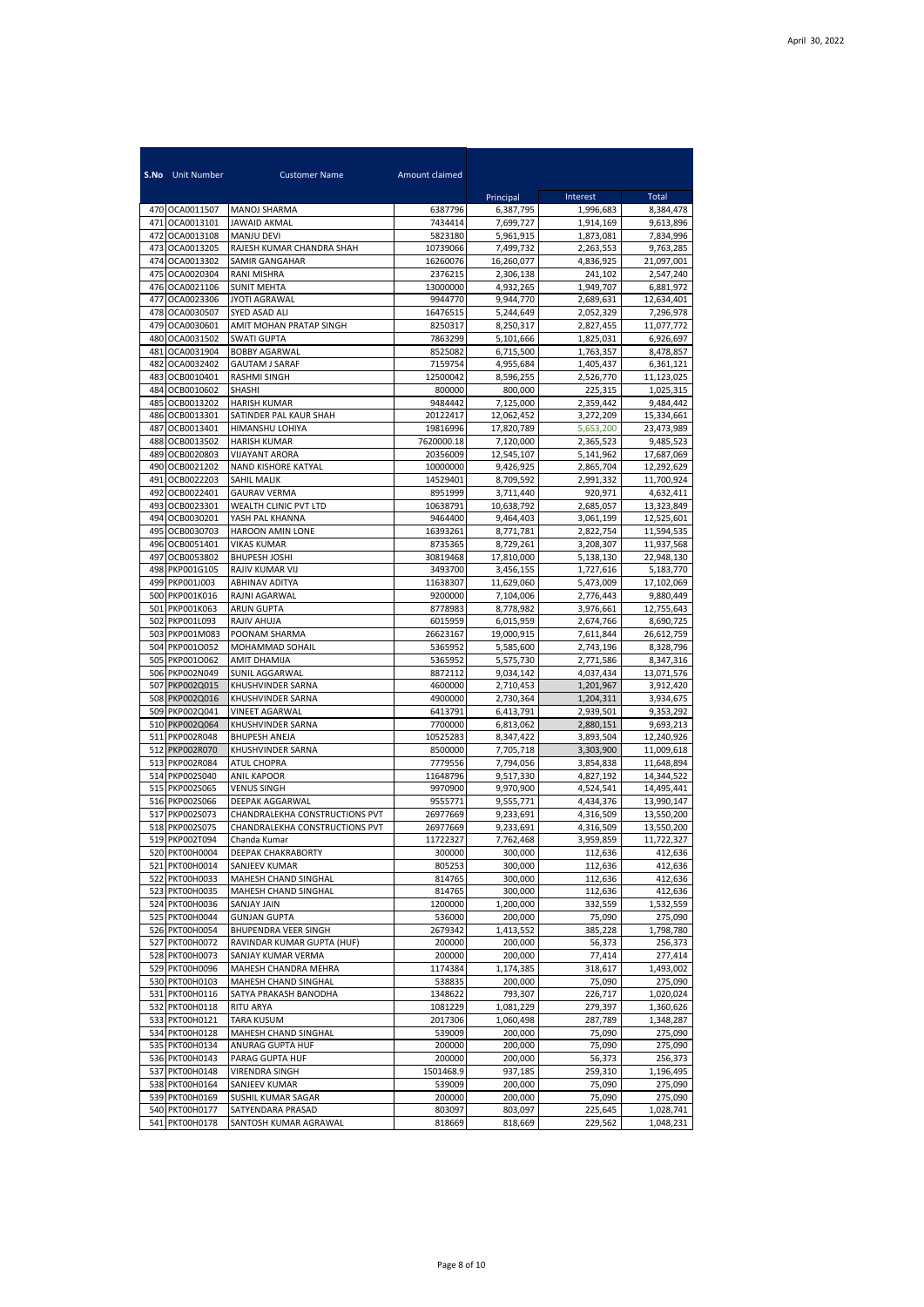|            | <b>S.No</b> Unit Number          | <b>Customer Name</b>                         | Amount claimed      | Principal               | Interest               | Total                    |
|------------|----------------------------------|----------------------------------------------|---------------------|-------------------------|------------------------|--------------------------|
|            | 470 OCA0011507                   | MANOJ SHARMA                                 | 6387796             | 6,387,795               | 1,996,683              | 8,384,478                |
| 471        | OCA0013101                       | <b>JAWAID AKMAL</b>                          | 7434414             | 7,699,727               | 1,914,169              | 9,613,896                |
| 472        | OCA0013108                       | <b>MANJU DEVI</b>                            | 5823180             | 5,961,915               | 1,873,081              | 7,834,996                |
| 473        | OCA0013205                       | RAJESH KUMAR CHANDRA SHAH                    | 10739066            | 7,499,732               | 2,263,553              | 9,763,285                |
| 474        | OCA0013302                       | SAMIR GANGAHAR                               | 16260076            | 16,260,077              | 4,836,925              | 21,097,001               |
| 475<br>476 | OCA0020304<br>OCA0021106         | RANI MISHRA<br><b>SUNIT MEHTA</b>            | 2376215<br>13000000 | 2,306,138<br>4,932,265  | 241,102<br>1,949,707   | 2,547,240<br>6,881,972   |
| 477        | OCA0023306                       | <b>JYOTI AGRAWAL</b>                         | 9944770             | 9,944,770               | 2,689,631              | 12,634,401               |
| 478        | OCA0030507                       | SYED ASAD ALI                                | 16476515            | 5,244,649               | 2,052,329              | 7,296,978                |
| 479        | OCA0030601                       | AMIT MOHAN PRATAP SINGH                      | 8250317             | 8,250,317               | 2,827,455              | 11,077,772               |
| 480        | OCA0031502                       | <b>SWATI GUPTA</b>                           | 7863299             | 5,101,666               | 1,825,031              | 6,926,697                |
| 481        | OCA0031904                       | <b>BOBBY AGARWAL</b>                         | 8525082             | 6,715,500               | 1,763,357              | 8,478,857                |
| 482<br>483 | OCA0032402<br>OCB0010401         | <b>GAUTAM J SARAF</b><br>RASHMI SINGH        | 7159754<br>12500042 | 4.955.684<br>8,596,255  | 1,405,437<br>2,526,770 | 6,361,121<br>11,123,025  |
| 484        | OCB0010602                       | <b>SHASHI</b>                                | 800000              | 800,000                 | 225,315                | 1,025,315                |
| 485        | OCB0013202                       | <b>HARISH KUMAR</b>                          | 9484442             | 7,125,000               | 2,359,442              | 9,484,442                |
| 486        | OCB0013301                       | SATINDER PAL KAUR SHAH                       | 20122417            | 12,062,452              | 3,272,209              | 15,334,661               |
| 487        | OCB0013401                       | HIMANSHU LOHIYA                              | 19816996            | 17,820,789              | 5,653,200              | 23,473,989               |
| 488        | OCB0013502                       | <b>HARISH KUMAR</b>                          | 7620000.18          | 7,120,000               | 2,365,523              | 9,485,523                |
| 489        | OCB0020803                       | <b>VIJAYANT ARORA</b>                        | 20356009            | 12.545.107              | 5,141,962              | 17,687,069               |
| 490        | OCB0021202                       | NAND KISHORE KATYAL<br><b>SAHIL MALIK</b>    | 10000000            | 9,426,925               | 2.865.704              | 12,292,629               |
| 491<br>492 | OCB0022203<br>OCB0022401         | <b>GAURAV VERMA</b>                          | 14529401<br>8951999 | 8,709,592<br>3.711.440  | 2,991,332<br>920,971   | 11,700,924<br>4.632.411  |
| 493        | OCB0023301                       | WEALTH CLINIC PVT LTD                        | 10638791            | 10,638,792              | 2,685,057              | 13,323,849               |
| 494        | OCB0030201                       | YASH PAL KHANNA                              | 9464400             | 9,464,403               | 3,061,199              | 12,525,601               |
| 495        | OCB0030703                       | HAROON AMIN LONE                             | 16393261            | 8,771,781               | 2.822.754              | 11,594,535               |
| 496        | OCB0051401                       | <b>VIKAS KUMAR</b>                           | 8735365             | 8,729,261               | 3,208,307              | 11,937,568               |
| 497        | OCB0053802                       | <b>BHUPESH JOSHI</b>                         | 30819468            | 17.810.000              | 5,138,130              | 22,948,130               |
| 498        | PKP001G105                       | RAJIV KUMAR VIJ                              | 3493700             | 3,456,155               | 1,727,616              | 5,183,770                |
| 499        | PKP001J003<br>500 PKP001K016     | <b>ABHINAV ADITYA</b><br>RAJNI AGARWAL       | 11638307<br>9200000 | 11,629,060<br>7,104,006 | 5,473,009<br>2,776,443 | 17.102.069<br>9,880,449  |
| 501        | PKP001K063                       | ARUN GUPTA                                   | 8778983             | 8,778,982               | 3,976,661              | 12,755,643               |
| 502        | PKP001L093                       | RAJIV AHUJA                                  | 6015959             | 6,015,959               | 2,674,766              | 8,690,725                |
| 503        | PKP001M083                       | POONAM SHARMA                                | 26623167            | 19,000,915              | 7,611,844              | 26,612,759               |
| 504        | PKP001O052                       | MOHAMMAD SOHAIL                              | 5365952             | 5,585,600               | 2,743,196              | 8,328,796                |
| 505        | PKP001O062                       | AMIT DHAMIJA                                 | 5365952             | 5,575,730               | 2,771,586              | 8,347,316                |
|            | 506 PKP002N049                   | SUNIL AGGARWAL                               | 8872112             | 9,034,142               | 4,037,434              | 13,071,576               |
| 507<br>508 | PKP002Q015<br>PKP002Q016         | KHUSHVINDER SARNA<br>KHUSHVINDER SARNA       | 4600000<br>4900000  | 2,710,453<br>2,730,364  | 1,201,967<br>1,204,311 | 3,912,420<br>3,934,675   |
|            | 509 PKP002Q041                   | <b>VINEET AGARWAL</b>                        | 6413791             | 6,413,791               | 2,939,501              | 9,353,292                |
|            | 510 PKP002Q064                   | KHUSHVINDER SARNA                            | 7700000             | 6,813,062               | 2,880,151              | 9,693,213                |
| 511        | PKP002R048                       | <b>BHUPESH ANEJA</b>                         | 10525283            | 8,347,422               | 3,893,504              | 12,240,926               |
| 512        | PKP002R070                       | KHUSHVINDER SARNA                            | 8500000             | 7,705,718               | 3,303,900              | 11,009,618               |
| 513        | PKP002R084                       | ATUL CHOPRA                                  | 7779556             | 7,794,056               | 3,854,838              | 11,648,894               |
|            | 514 PKP002S040                   | <b>ANIL KAPOOR</b>                           | 11648796<br>9970900 | 9,517,330               | 4,827,192              | 14,344,522               |
| 515        | PKP002S065<br>516 PKP002S066     | <b>VENUS SINGH</b><br><b>DEEPAK AGGARWAL</b> | 9555771             | 9,970,900<br>9,555,771  | 4,524,541<br>4,434,376 | 14,495,441<br>13,990,147 |
| 517        | PKP002S073                       | CHANDRALEKHA CONSTRUCTIONS PVT               | 26977669            | 9,233,691               | 4,316,509              | 13,550,200               |
| 518        | PKP002S075                       | CHANDRALEKHA CONSTRUCTIONS PVT               | 26977669            | 9,233,691               | 4,316,509              | 13,550,200               |
|            | 519 PKP0021094                   | Chanda Kumar                                 | 11722327            | 7,762,468               | 3,959,859              | 11,/22,32/               |
|            | 520 PKT00H0004                   | DEEPAK CHAKRABORTY                           | 300000              | 300,000                 | 112,636                | 412,636                  |
| 521        | PKT00H0014                       | SANJEEV KUMAR                                | 805253              | 300,000                 | 112,636                | 412,636                  |
|            | 522 PKT00H0033                   | MAHESH CHAND SINGHAL                         | 814765              | 300,000                 | 112,636                | 412,636                  |
|            | 523 PKT00H0035<br>524 PKT00H0036 | MAHESH CHAND SINGHAL<br><b>SANJAY JAIN</b>   | 814765<br>1200000   | 300,000<br>1,200,000    | 112,636<br>332,559     | 412,636<br>1,532,559     |
| 525        | PKT00H0044                       | <b>GUNJAN GUPTA</b>                          | 536000              | 200,000                 | 75,090                 | 275,090                  |
|            | 526 PKT00H0054                   | BHUPENDRA VEER SINGH                         | 2679342             | 1,413,552               | 385,228                | 1,798,780                |
| 527        | PKT00H0072                       | RAVINDAR KUMAR GUPTA (HUF)                   | 200000              | 200,000                 | 56,373                 | 256,373                  |
| 528        | PKT00H0073                       | SANJAY KUMAR VERMA                           | 200000              | 200,000                 | 77,414                 | 277,414                  |
|            | 529 PKT00H0096                   | MAHESH CHANDRA MEHRA                         | 1174384             | 1,174,385               | 318,617                | 1,493,002                |
|            | 530 PKT00H0103                   | MAHESH CHAND SINGHAL                         | 538835              | 200,000                 | 75,090                 | 275,090                  |
|            | 531 PKT00H0116<br>532 PKT00H0118 | SATYA PRAKASH BANODHA<br>RITU ARYA           | 1348622<br>1081229  | 793,307<br>1,081,229    | 226,717<br>279,397     | 1,020,024<br>1,360,626   |
|            | 533 PKT00H0121                   | <b>TARA KUSUM</b>                            | 2017306             | 1,060,498               | 287,789                | 1,348,287                |
|            | 534 PKT00H0128                   | MAHESH CHAND SINGHAL                         | 539009              | 200,000                 | 75,090                 | 275,090                  |
|            | 535 PKT00H0134                   | ANURAG GUPTA HUF                             | 200000              | 200,000                 | 75,090                 | 275,090                  |
|            | 536 PKT00H0143                   | PARAG GUPTA HUF                              | 200000              | 200,000                 | 56,373                 | 256,373                  |
|            | 537 PKT00H0148                   | VIRENDRA SINGH                               | 1501468.9           | 937,185                 | 259,310                | 1,196,495                |
|            | 538 PKT00H0164                   | SANJEEV KUMAR                                | 539009              | 200,000                 | 75,090                 | 275,090                  |
|            | 539 PKT00H0169<br>540 PKT00H0177 | SUSHIL KUMAR SAGAR<br>SATYENDARA PRASAD      | 200000<br>803097    | 200,000<br>803,097      | 75,090<br>225,645      | 275,090<br>1,028,741     |
|            | 541 PKT00H0178                   | SANTOSH KUMAR AGRAWAL                        | 818669              | 818,669                 | 229,562                | 1,048,231                |
|            |                                  |                                              |                     |                         |                        |                          |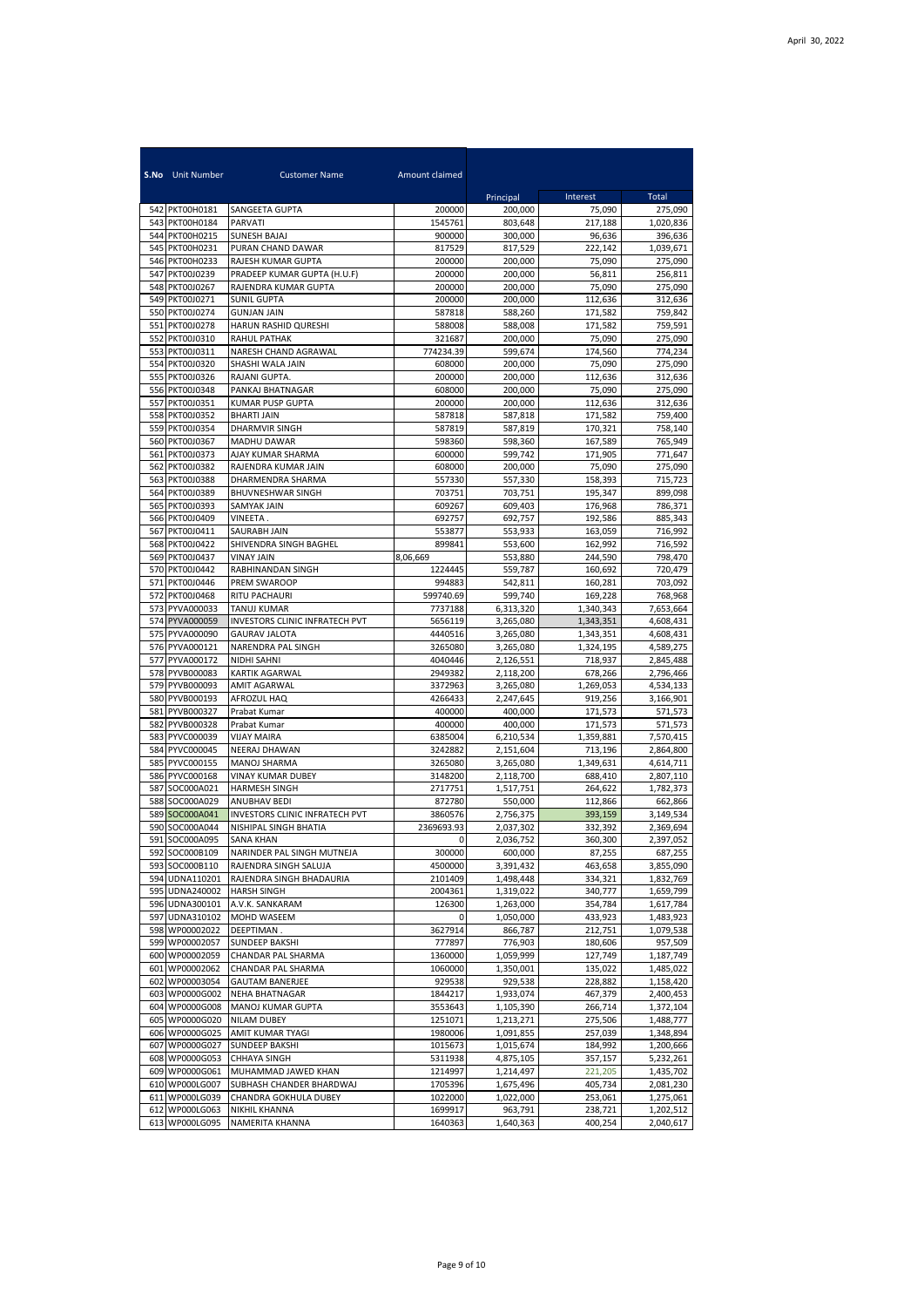|     | S.No Unit Number                 | <b>Customer Name</b>                           | Amount claimed      |                        |                      |                        |
|-----|----------------------------------|------------------------------------------------|---------------------|------------------------|----------------------|------------------------|
|     |                                  |                                                |                     | Principal              | Interest             | Total                  |
|     | 542 PKT00H0181<br>543 PKT00H0184 | SANGEETA GUPTA<br><b>PARVATI</b>               | 200000<br>1545761   | 200,000<br>803,648     | 75,090<br>217.188    | 275,090<br>1,020,836   |
|     | 544 PKT00H0215                   | <b>SUNESH BAJAJ</b>                            | 900000              | 300,000                | 96,636               | 396,636                |
|     | 545 PKT00H0231                   | PURAN CHAND DAWAR                              | 817529              | 817,529                | 222,142              | 1,039,671              |
|     | 546 PKT00H0233                   | RAJESH KUMAR GUPTA                             | 200000              | 200,000                | 75,090               | 275,090                |
|     | 547 PKT00J0239                   | PRADEEP KUMAR GUPTA (H.U.F)                    | 200000              | 200,000                | 56,811               | 256,811                |
|     | 548 PKT00J0267                   | RAJENDRA KUMAR GUPTA                           | 200000              | 200,000                | 75,090               | 275,090                |
|     | 549 PKT00J0271                   | <b>SUNIL GUPTA</b>                             | 200000              | 200.000                | 112,636              | 312,636                |
|     | 550 PKT00J0274<br>551 PKT00J0278 | <b>GUNJAN JAIN</b>                             | 587818              | 588,260                | 171,582              | 759,842                |
|     | 552 PKT00J0310                   | HARUN RASHID QURESHI<br><b>RAHUL PATHAK</b>    | 588008<br>321687    | 588,008<br>200,000     | 171,582<br>75,090    | 759,591<br>275,090     |
|     | 553 PKT00J0311                   | NARESH CHAND AGRAWAL                           | 774234.39           | 599.674                | 174,560              | 774,234                |
|     | 554 PKT00J0320                   | SHASHI WALA JAIN                               | 608000              | 200,000                | 75,090               | 275,090                |
|     | 555 PKT00J0326                   | RAJANI GUPTA.                                  | 200000              | 200,000                | 112,636              | 312,636                |
|     | 556 PKT00J0348                   | PANKAJ BHATNAGAR                               | 608000              | 200,000                | 75,090               | 275,090                |
|     | 557 PKT00J0351                   | <b>KUMAR PUSP GUPTA</b>                        | 200000              | 200,000                | 112,636              | 312,636                |
|     | 558 PKT00J0352                   | <b>BHARTI JAIN</b>                             | 587818              | 587,818                | 171,582              | 759,400                |
|     | 559 PKT00J0354                   | DHARMVIR SINGH                                 | 587819              | 587,819                | 170,321              | 758,140                |
|     | 560 PKT00J0367<br>561 PKT00J0373 | MADHU DAWAR<br>AJAY KUMAR SHARMA               | 598360<br>600000    | 598,360<br>599.742     | 167,589<br>171,905   | 765,949<br>771,647     |
|     | 562 PKT00J0382                   | RAJENDRA KUMAR JAIN                            | 608000              | 200,000                | 75,090               | 275,090                |
|     | 563 PKT00J0388                   | DHARMENDRA SHARMA                              | 557330              | 557,330                | 158,393              | 715,723                |
|     | 564 PKT00J0389                   | BHUVNESHWAR SINGH                              | 703751              | 703,751                | 195,347              | 899,098                |
|     | 565 PKT00J0393                   | <b>SAMYAK JAIN</b>                             | 609267              | 609,403                | 176,968              | 786,371                |
|     | 566 PKT00J0409                   | VINEETA.                                       | 692757              | 692,757                | 192,586              | 885.343                |
|     | 567 PKT00J0411                   | <b>SAURABH JAIN</b>                            | 553877              | 553,933                | 163,059              | 716,992                |
|     | 568 PKT00J0422<br>569 PKT00J0437 | SHIVENDRA SINGH BAGHEL<br><b>VINAY JAIN</b>    | 899841              | 553,600<br>553,880     | 162,992<br>244,590   | 716,592<br>798,470     |
|     | 570 PKT00J0442                   | RABHINANDAN SINGH                              | 8,06,669<br>1224445 | 559,787                | 160,692              | 720,479                |
|     | 571 PKT00J0446                   | PREM SWAROOP                                   | 994883              | 542,811                | 160,281              | 703,092                |
|     | 572 PKT00J0468                   | RITU PACHAURI                                  | 599740.69           | 599,740                | 169,228              | 768,968                |
|     | 573 PYVA000033                   | <b>TANUJ KUMAR</b>                             | 7737188             | 6,313,320              | 1,340,343            | 7,653,664              |
|     | 574 PYVA000059                   | INVESTORS CLINIC INFRATECH PVT                 | 5656119             | 3,265,080              | 1,343,351            | 4,608,431              |
|     | 575 PYVA000090                   | <b>GAURAV JALOTA</b>                           | 4440516             | 3,265,080              | 1,343,351            | 4,608,431              |
|     | 576 PYVA000121<br>577 PYVA000172 | NARENDRA PAL SINGH                             | 3265080             | 3,265,080              | 1,324,195            | 4,589,275              |
|     | 578 PYVB000083                   | NIDHI SAHNI<br>KARTIK AGARWAL                  | 4040446<br>2949382  | 2,126,551<br>2,118,200 | 718,937<br>678,266   | 2,845,488<br>2,796,466 |
|     | 579 PYVB000093                   | <b>AMIT AGARWAL</b>                            | 3372963             | 3,265,080              | 1,269,053            | 4,534,133              |
|     | 580 PYVB000193                   | AFROZUL HAQ                                    | 4266433             | 2,247,645              | 919,256              | 3,166,901              |
|     | 581 PYVB000327                   | Prabat Kumar                                   | 400000              | 400,000                | 171,573              | 571,573                |
|     | 582 PYVB000328                   | Prabat Kumar                                   | 400000              | 400,000                | 171,573              | 571,573                |
|     | 583 PYVC000039                   | <b>VIJAY MAIRA</b>                             | 6385004             | 6,210,534              | 1,359,881            | 7,570,415              |
|     | 584 PYVC000045                   | <b>NEERAJ DHAWAN</b>                           | 3242882             | 2,151,604              | 713,196              | 2,864,800              |
|     | 585 PYVC000155<br>586 PYVC000168 | <b>MANOJ SHARMA</b><br>VINAY KUMAR DUBEY       | 3265080<br>3148200  | 3,265,080<br>2,118,700 | 1,349,631<br>688,410 | 4,614,711<br>2,807,110 |
| 587 | SOC000A021                       | HARMESH SINGH                                  | 2717751             | 1,517,751              | 264,622              | 1,782,373              |
| 588 | SOC000A029                       | ANUBHAV BEDI                                   | 872780              | 550,000                | 112,866              | 662,866                |
| 589 | SOC000A041                       | INVESTORS CLINIC INFRATECH PVT                 | 3860576             | 2,756,375              | 393,159              | 3,149,534              |
| 590 | SOC000A044                       | NISHIPAL SINGH BHATIA                          | 2369693.93          | 2,037,302              | 332,392              | 2,369,694              |
|     | 591 SOC000A095                   | SANA KHAN                                      | υ                   | 2,036,752              | 360,300              | 2,397,052              |
|     | 592 SOC000B109                   | NARINDER PAL SINGH MUTNEJA                     | 300000              | 600,000                | 87,255               | 687,255                |
|     | 593 SOC000B110                   | RAJENDRA SINGH SALUJA                          | 4500000             | 3,391,432              | 463,658              | 3,855,090              |
|     | 594 UDNA110201<br>595 UDNA240002 | RAJENDRA SINGH BHADAURIA<br><b>HARSH SINGH</b> | 2101409<br>2004361  | 1,498,448<br>1,319,022 | 334,321<br>340,777   | 1,832,769<br>1,659,799 |
|     | 596 UDNA300101                   | A.V.K. SANKARAM                                | 126300              | 1,263,000              | 354,784              | 1,617,784              |
|     | 597 UDNA310102                   | MOHD WASEEM                                    | 0                   | 1,050,000              | 433,923              | 1,483,923              |
|     | 598 WP00002022                   | DEEPTIMAN.                                     | 3627914             | 866,787                | 212,751              | 1,079,538              |
|     | 599 WP00002057                   | <b>SUNDEEP BAKSHI</b>                          | 777897              | 776,903                | 180,606              | 957,509                |
|     | 600 WP00002059                   | CHANDAR PAL SHARMA                             | 1360000             | 1,059,999              | 127,749              | 1,187,749              |
|     | 601 WP00002062                   | CHANDAR PAL SHARMA                             | 1060000             | 1,350,001              | 135,022              | 1,485,022              |
|     | 602 WP00003054                   | <b>GAUTAM BANERJEE</b>                         | 929538              | 929,538                | 228,882              | 1,158,420              |
|     | 603 WP0000G002<br>604 WP0000G008 | NEHA BHATNAGAR<br>MANOJ KUMAR GUPTA            | 1844217<br>3553643  | 1,933,074<br>1,105,390 | 467,379<br>266,714   | 2,400,453<br>1,372,104 |
|     | 605 WP0000G020                   | NILAM DUBEY                                    | 1251071             | 1,213,271              | 275,506              | 1,488,777              |
|     | 606 WP0000G025                   | AMIT KUMAR TYAGI                               | 1980006             | 1.091.855              | 257,039              | 1,348,894              |
|     | 607 WP0000G027                   | SUNDEEP BAKSHI                                 | 1015673             | 1,015,674              | 184,992              | 1,200,666              |
| 608 | WP0000G053                       | CHHAYA SINGH                                   | 5311938             | 4,875,105              | 357,157              | 5,232,261              |
|     | 609 WP0000G061                   | MUHAMMAD JAWED KHAN                            | 1214997             | 1,214,497              | 221,205              | 1,435,702              |
|     | 610 WP000LG007                   | SUBHASH CHANDER BHARDWAJ                       | 1705396             | 1,675,496              | 405,734              | 2,081,230              |
|     | 611 WP000LG039<br>612 WP000LG063 | CHANDRA GOKHULA DUBEY                          | 1022000             | 1,022,000              | 253,061              | 1,275,061              |
|     | 613 WP000LG095                   | NIKHIL KHANNA<br>NAMERITA KHANNA               | 1699917<br>1640363  | 963,791<br>1,640,363   | 238,721<br>400,254   | 1,202,512<br>2,040,617 |
|     |                                  |                                                |                     |                        |                      |                        |